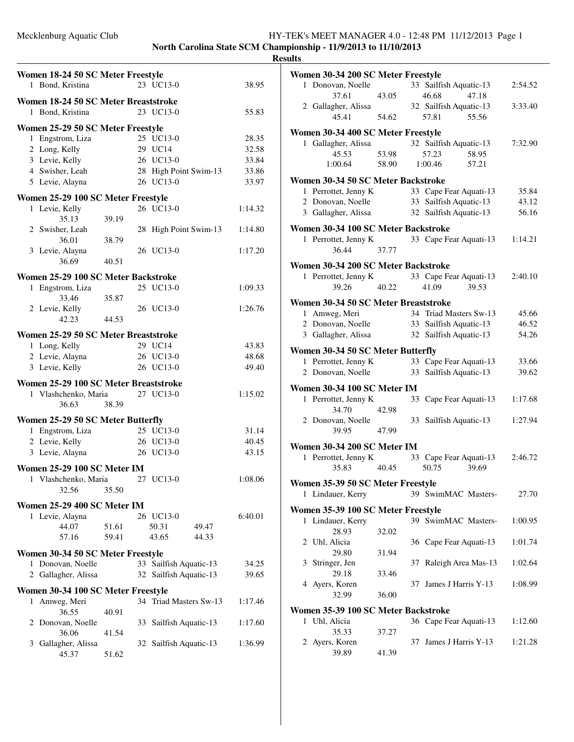|   | Women 18-24 50 SC Meter Freestyle     |       |    |                        |                |
|---|---------------------------------------|-------|----|------------------------|----------------|
|   | 1 Bond, Kristina                      |       |    | 23 UC13-0              | 38.95          |
|   | Women 18-24 50 SC Meter Breaststroke  |       |    |                        |                |
| 1 | Bond, Kristina                        |       |    | 23 UC13-0              | 55.83          |
|   |                                       |       |    |                        |                |
|   | Women 25-29 50 SC Meter Freestyle     |       |    |                        |                |
|   | 1 Engstrom, Liza                      |       |    | 25 UC13-0              | 28.35          |
|   | 2 Long, Kelly<br>3 Levie, Kelly       |       |    | 29 UC14<br>26 UC13-0   | 32.58<br>33.84 |
|   | 4 Swisher, Leah                       |       |    | 28 High Point Swim-13  | 33.86          |
|   | 5 Levie, Alayna                       |       |    | 26 UC13-0              | 33.97          |
|   |                                       |       |    |                        |                |
|   | Women 25-29 100 SC Meter Freestyle    |       |    |                        |                |
|   | 1 Levie, Kelly                        |       |    | 26 UC13-0              | 1:14.32        |
|   | 35.13                                 | 39.19 |    |                        |                |
|   | 2 Swisher, Leah                       |       |    | 28 High Point Swim-13  | 1:14.80        |
|   | 36.01                                 | 38.79 |    |                        |                |
|   | 3 Levie, Alayna<br>36.69              | 40.51 |    | 26 UC13-0              | 1:17.20        |
|   |                                       |       |    |                        |                |
|   | Women 25-29 100 SC Meter Backstroke   |       |    |                        |                |
|   | 1 Engstrom, Liza                      |       |    | 25 UC13-0              | 1:09.33        |
|   | 33.46                                 | 35.87 |    |                        |                |
|   | 2 Levie, Kelly                        |       |    | 26 UC13-0              | 1:26.76        |
|   | 42.23                                 | 44.53 |    |                        |                |
|   | Women 25-29 50 SC Meter Breaststroke  |       |    |                        |                |
|   | 1 Long, Kelly                         |       |    | 29 UC14                | 43.83          |
|   | 2 Levie, Alayna                       |       |    | 26 UC13-0              | 48.68          |
|   | 3 Levie, Kelly                        |       |    | 26 UC13-0              | 49.40          |
|   | Women 25-29 100 SC Meter Breaststroke |       |    |                        |                |
|   | 1 Vlashchenko, Maria                  |       |    | 27 UC13-0              | 1:15.02        |
|   | 36.63                                 | 38.39 |    |                        |                |
|   |                                       |       |    |                        |                |
|   | Women 25-29 50 SC Meter Butterfly     |       |    |                        |                |
|   | 1 Engstrom, Liza                      |       |    | 25 UC13-0              | 31.14          |
|   | 2 Levie, Kelly                        |       |    | 26 UC13-0              | 40.45          |
|   | 3 Levie, Alayna                       |       |    | 26 UC13-0              | 43.15          |
|   | Women 25-29 100 SC Meter IM           |       |    |                        |                |
|   | 1 Vlashchenko, Maria                  |       |    | 27 UC13-0              | 1:08.06        |
|   | 32.56                                 | 35.50 |    |                        |                |
|   | Women 25-29 400 SC Meter IM           |       |    |                        |                |
|   | 1 Levie, Alayna                       |       |    | 26 UC13-0              | 6:40.01        |
|   | 44.07                                 | 51.61 |    | 50.31<br>49.47         |                |
|   | 57.16                                 | 59.41 |    | 43.65<br>44.33         |                |
|   |                                       |       |    |                        |                |
|   | Women 30-34 50 SC Meter Freestyle     |       |    |                        |                |
| 1 | Donovan, Noelle                       |       |    | 33 Sailfish Aquatic-13 | 34.25          |
| 2 | Gallagher, Alissa                     |       |    | 32 Sailfish Aquatic-13 | 39.65          |
|   | Women 30-34 100 SC Meter Freestyle    |       |    |                        |                |
| 1 | Amweg, Meri                           |       | 34 | Triad Masters Sw-13    | 1:17.46        |
|   | 36.55                                 | 40.91 |    |                        |                |
| 2 | Donovan, Noelle                       |       | 33 | Sailfish Aquatic-13    | 1:17.60        |
|   | 36.06                                 | 41.54 |    |                        |                |
| 3 | Gallagher, Alissa                     |       | 32 | Sailfish Aquatic-13    | 1:36.99        |
|   | 45.37                                 | 51.62 |    |                        |                |

|              | Women 30-34 200 SC Meter Freestyle                        |       |    |                                          |         |
|--------------|-----------------------------------------------------------|-------|----|------------------------------------------|---------|
|              | 1 Donovan, Noelle<br>37.61                                | 43.05 |    | 33 Sailfish Aquatic-13<br>46.68<br>47.18 | 2:54.52 |
|              | 2 Gallagher, Alissa<br>45.41                              | 54.62 |    | 32 Sailfish Aquatic-13<br>57.81<br>55.56 | 3:33.40 |
|              |                                                           |       |    |                                          |         |
|              | Women 30-34 400 SC Meter Freestyle<br>1 Gallagher, Alissa |       |    | 32 Sailfish Aquatic-13                   | 7:32.90 |
|              | 45.53                                                     | 53.98 |    | 57.23<br>58.95                           |         |
|              | 1:00.64                                                   | 58.90 |    | 1:00.46<br>57.21                         |         |
|              | Women 30-34 50 SC Meter Backstroke                        |       |    |                                          |         |
|              | 1 Perrottet, Jenny K                                      |       |    | 33 Cape Fear Aquati-13                   | 35.84   |
|              | 2 Donovan, Noelle                                         |       |    | 33 Sailfish Aquatic-13                   | 43.12   |
|              | 3 Gallagher, Alissa                                       |       |    | 32 Sailfish Aquatic-13                   | 56.16   |
|              | Women 30-34 100 SC Meter Backstroke                       |       |    |                                          |         |
|              | 1 Perrottet, Jenny K<br>36.44                             | 37.77 |    | 33 Cape Fear Aquati-13                   | 1:14.21 |
|              | Women 30-34 200 SC Meter Backstroke                       |       |    |                                          |         |
|              | 1 Perrottet, Jenny K                                      |       |    | 33 Cape Fear Aquati-13                   | 2:40.10 |
|              | 39.26                                                     | 40.22 |    | 41.09<br>39.53                           |         |
|              | Women 30-34 50 SC Meter Breaststroke                      |       |    |                                          |         |
|              | 1 Amweg, Meri                                             |       |    | 34 Triad Masters Sw-13                   | 45.66   |
|              | 2 Donovan, Noelle                                         |       |    | 33 Sailfish Aquatic-13                   | 46.52   |
|              | 3 Gallagher, Alissa                                       |       |    | 32 Sailfish Aquatic-13                   | 54.26   |
|              | Women 30-34 50 SC Meter Butterfly                         |       |    |                                          |         |
|              | 1 Perrottet, Jenny K                                      |       |    | 33 Cape Fear Aquati-13                   | 33.66   |
|              | 2 Donovan, Noelle                                         |       |    | 33 Sailfish Aquatic-13                   | 39.62   |
|              | Women 30-34 100 SC Meter IM                               |       |    |                                          |         |
| 1            | Perrottet, Jenny K                                        |       |    | 33 Cape Fear Aquati-13                   | 1:17.68 |
|              | 34.70                                                     | 42.98 |    |                                          |         |
|              | 2 Donovan, Noelle                                         |       |    | 33 Sailfish Aquatic-13                   | 1:27.94 |
|              | 39.95                                                     | 47.99 |    |                                          |         |
|              | Women 30-34 200 SC Meter IM                               |       |    |                                          |         |
|              | 1 Perrottet, Jenny K                                      |       |    | 33 Cape Fear Aquati-13                   | 2:46.72 |
|              | 35.83                                                     | 40.45 |    | 50.75<br>39.69                           |         |
|              | Women 35-39 50 SC Meter Freestyle                         |       |    |                                          |         |
|              | 1 Lindauer, Kerry                                         |       |    | 39 SwimMAC Masters-                      | 27.70   |
|              | Women 35-39 100 SC Meter Freestyle                        |       |    |                                          |         |
| $\mathbf{1}$ | Lindauer, Kerry                                           |       |    | 39 SwimMAC Masters-                      | 1:00.95 |
|              | 28.93                                                     | 32.02 |    |                                          |         |
| 2            | Uhl, Alicia                                               |       |    | 36 Cape Fear Aquati-13                   | 1:01.74 |
|              | 29.80                                                     | 31.94 |    |                                          |         |
| 3            | Stringer, Jen                                             |       | 37 | Raleigh Area Mas-13                      | 1:02.64 |
|              | 29.18<br>4 Ayers, Koren                                   | 33.46 | 37 | James J Harris Y-13                      | 1:08.99 |
|              | 32.99                                                     | 36.00 |    |                                          |         |
|              | Women 35-39 100 SC Meter Backstroke                       |       |    |                                          |         |
| 1            | Uhl, Alicia                                               |       |    | 36 Cape Fear Aquati-13                   | 1:12.60 |
|              | 35.33                                                     | 37.27 |    |                                          |         |
| 2            | Ayers, Koren                                              |       | 37 | James J Harris Y-13                      | 1:21.28 |
|              | 39.89                                                     | 41.39 |    |                                          |         |
|              |                                                           |       |    |                                          |         |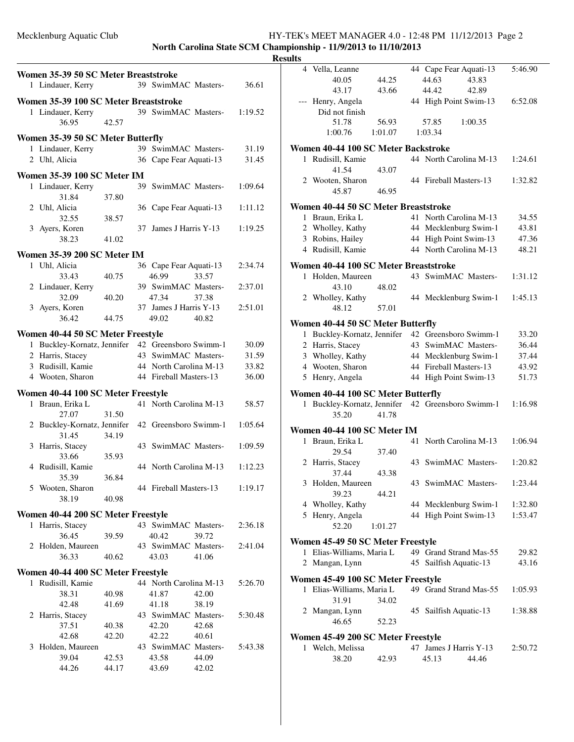## Mecklenburg Aquatic Club HY-TEK's MEET MANAGER 4.0 - 12:48 PM 11/12/2013 Page 2

**North Carolina State SCM Championship - 11/9/2013 to 11/10/2013**

| Women 35-39 50 SC Meter Breaststroke<br>1 Lindauer, Kerry |       | 39 SwimMAC Masters-                               | 36.61   |
|-----------------------------------------------------------|-------|---------------------------------------------------|---------|
| Women 35-39 100 SC Meter Breaststroke                     |       |                                                   |         |
| 1 Lindauer, Kerry<br>36.95                                | 42.57 | 39 SwimMAC Masters-                               | 1:19.52 |
|                                                           |       |                                                   |         |
| Women 35-39 50 SC Meter Butterfly                         |       |                                                   |         |
| 1 Lindauer, Kerry                                         |       | 39 SwimMAC Masters-                               | 31.19   |
| 2 Uhl, Alicia                                             |       | 36 Cape Fear Aquati-13                            | 31.45   |
| Women 35-39 100 SC Meter IM                               |       |                                                   |         |
| 1 Lindauer, Kerry                                         |       | 39 SwimMAC Masters-                               | 1:09.64 |
| 31.84                                                     | 37.80 |                                                   |         |
| 2 Uhl, Alicia                                             |       | 36 Cape Fear Aquati-13                            | 1:11.12 |
| 32.55                                                     | 38.57 |                                                   |         |
| 3 Ayers, Koren                                            |       | 37 James J Harris Y-13                            | 1:19.25 |
| 38.23                                                     | 41.02 |                                                   |         |
|                                                           |       |                                                   |         |
| <b>Women 35-39 200 SC Meter IM</b>                        |       |                                                   |         |
| 1 Uhl, Alicia                                             |       | 36 Cape Fear Aquati-13                            | 2:34.74 |
| 33.43                                                     | 40.75 | 46.99<br>33.57                                    |         |
| 2 Lindauer, Kerry                                         |       | 39 SwimMAC Masters-                               | 2:37.01 |
| 32.09                                                     | 40.20 | 47.34<br>37.38                                    |         |
| 3 Ayers, Koren                                            |       | 37 James J Harris Y-13                            | 2:51.01 |
| 36.42                                                     | 44.75 | 49.02<br>40.82                                    |         |
|                                                           |       |                                                   |         |
| Women 40-44 50 SC Meter Freestyle                         |       |                                                   |         |
|                                                           |       | 1 Buckley-Kornatz, Jennifer 42 Greensboro Swimm-1 | 30.09   |
| 2 Harris, Stacey                                          |       | 43 SwimMAC Masters-                               | 31.59   |
| 3 Rudisill, Kamie                                         |       | 44 North Carolina M-13                            | 33.82   |
| 4 Wooten, Sharon                                          |       | 44 Fireball Masters-13                            | 36.00   |
| Women 40-44 100 SC Meter Freestyle                        |       |                                                   |         |
| 1 Braun, Erika L                                          |       | 41 North Carolina M-13                            | 58.57   |
| 27.07                                                     | 31.50 |                                                   |         |
|                                                           |       | 2 Buckley-Kornatz, Jennifer 42 Greensboro Swimm-1 | 1:05.64 |
| 31.45                                                     | 34.19 |                                                   |         |
|                                                           |       |                                                   |         |
| 3 Harris, Stacey                                          |       | 43 SwimMAC Masters-                               | 1:09.59 |
| 33.66                                                     | 35.93 |                                                   |         |
| 4 Rudisill, Kamie                                         |       | 44 North Carolina M-13                            | 1:12.23 |
| 35.39                                                     | 36.84 |                                                   |         |
| 5 Wooten, Sharon                                          |       | 44 Fireball Masters-13                            | 1:19.17 |
| 38.19                                                     | 40.98 |                                                   |         |
| Women 40-44 200 SC Meter Freestyle                        |       |                                                   |         |
| 1 Harris, Stacey                                          |       | 43 SwimMAC Masters-                               | 2:36.18 |
| 36.45                                                     | 39.59 | 40.42<br>39.72                                    |         |
| 2 Holden, Maureen                                         |       | 43 SwimMAC Masters-                               | 2:41.04 |
| 36.33                                                     | 40.62 | 43.03<br>41.06                                    |         |
|                                                           |       |                                                   |         |
| Women 40-44 400 SC Meter Freestyle                        |       |                                                   |         |
| 1 Rudisill, Kamie                                         |       | 44 North Carolina M-13                            | 5:26.70 |
| 38.31                                                     | 40.98 | 41.87<br>42.00                                    |         |
| 42.48                                                     | 41.69 | 38.19<br>41.18                                    |         |
| 2 Harris, Stacey                                          |       | 43 SwimMAC Masters-                               | 5:30.48 |
| 37.51                                                     | 40.38 | 42.20<br>42.68                                    |         |
| 42.68                                                     | 42.20 | 42.22<br>40.61                                    |         |
| 3 Holden, Maureen                                         |       | 43 SwimMAC Masters-                               | 5:43.38 |
| 39.04                                                     | 42.53 | 43.58<br>44.09                                    |         |
| 44.26                                                     | 44.17 | 43.69<br>42.02                                    |         |
|                                                           |       |                                                   |         |

|              | 4 Vella, Leanne                                                 |         |    | 44 Cape Fear Aquati-13 |         | 5:46.90 |
|--------------|-----------------------------------------------------------------|---------|----|------------------------|---------|---------|
|              | 40.05                                                           | 44.25   |    | 44.63                  | 43.83   |         |
|              | 43.17                                                           | 43.66   |    | 44.42                  | 42.89   |         |
|              | --- Henry, Angela                                               |         |    | 44 High Point Swim-13  |         | 6:52.08 |
|              | Did not finish                                                  |         |    |                        |         |         |
|              | 51.78                                                           | 56.93   |    | 57.85                  | 1:00.35 |         |
|              | 1:00.76                                                         | 1:01.07 |    | 1:03.34                |         |         |
|              |                                                                 |         |    |                        |         |         |
|              | Women 40-44 100 SC Meter Backstroke                             |         |    |                        |         |         |
| $\mathbf{1}$ | Rudisill, Kamie                                                 |         |    | 44 North Carolina M-13 |         | 1:24.61 |
|              | 41.54                                                           | 43.07   |    |                        |         |         |
|              | 2 Wooten, Sharon                                                |         |    | 44 Fireball Masters-13 |         | 1:32.82 |
|              | 45.87                                                           | 46.95   |    |                        |         |         |
|              | Women 40-44 50 SC Meter Breaststroke                            |         |    |                        |         |         |
|              | 1 Braun, Erika L                                                |         |    | 41 North Carolina M-13 |         | 34.55   |
|              | 2 Wholley, Kathy                                                |         |    | 44 Mecklenburg Swim-1  |         | 43.81   |
|              | 3 Robins, Hailey                                                |         |    | 44 High Point Swim-13  |         | 47.36   |
|              | 4 Rudisill, Kamie                                               |         |    | 44 North Carolina M-13 |         | 48.21   |
|              |                                                                 |         |    |                        |         |         |
|              | Women 40-44 100 SC Meter Breaststroke                           |         |    |                        |         |         |
| 1            | Holden, Maureen                                                 |         |    | 43 SwimMAC Masters-    |         | 1:31.12 |
|              | 43.10                                                           | 48.02   |    |                        |         |         |
|              | 2 Wholley, Kathy                                                |         |    | 44 Mecklenburg Swim-1  |         | 1:45.13 |
|              | 48.12                                                           | 57.01   |    |                        |         |         |
|              | Women 40-44 50 SC Meter Butterfly                               |         |    |                        |         |         |
|              | 1 Buckley-Kornatz, Jennifer                                     |         |    | 42 Greensboro Swimm-1  |         | 33.20   |
|              | 2 Harris, Stacey                                                |         |    | 43 SwimMAC Masters-    |         | 36.44   |
|              | 3 Wholley, Kathy                                                |         |    | 44 Mecklenburg Swim-1  |         | 37.44   |
|              | 4 Wooten, Sharon                                                |         |    | 44 Fireball Masters-13 |         | 43.92   |
|              | 5 Henry, Angela                                                 |         |    | 44 High Point Swim-13  |         | 51.73   |
|              |                                                                 |         |    |                        |         |         |
|              | Women 40-44 100 SC Meter Butterfly                              |         |    |                        |         |         |
| 1            | Buckley-Kornatz, Jennifer                                       |         |    | 42 Greensboro Swimm-1  |         | 1:16.98 |
|              | 35.20                                                           | 41.78   |    |                        |         |         |
|              | Women 40-44 100 SC Meter IM                                     |         |    |                        |         |         |
| $\mathbf{1}$ | Braun, Erika L                                                  |         | 41 | North Carolina M-13    |         | 1:06.94 |
|              | 29.54                                                           | 37.40   |    |                        |         |         |
|              | 2 Harris, Stacey                                                |         |    | 43 SwimMAC Masters-    |         | 1:20.82 |
|              | 37.44                                                           | 43.38   |    |                        |         |         |
|              | 3 Holden, Maureen                                               |         |    | 43 SwimMAC Masters-    |         | 1:23.44 |
|              | 39.23                                                           | 44.21   |    |                        |         |         |
|              | 4 Wholley, Kathy                                                |         |    | 44 Mecklenburg Swim-1  |         | 1:32.80 |
|              |                                                                 |         |    |                        |         |         |
|              | 5 Henry, Angela<br>52.20                                        |         |    | 44 High Point Swim-13  |         | 1:53.47 |
|              |                                                                 | 1:01.27 |    |                        |         |         |
|              | Women 45-49 50 SC Meter Freestyle                               |         |    |                        |         |         |
| 1            | Elias-Williams, Maria L                                         |         |    | 49 Grand Strand Mas-55 |         | 29.82   |
| 2            | Mangan, Lynn                                                    |         |    | 45 Sailfish Aquatic-13 |         | 43.16   |
|              |                                                                 |         |    |                        |         |         |
|              | Women 45-49 100 SC Meter Freestyle<br>1 Elias-Williams, Maria L |         |    |                        |         |         |
|              |                                                                 |         |    | 49 Grand Strand Mas-55 |         | 1:05.93 |
|              | 31.91                                                           | 34.02   |    |                        |         |         |
|              | 2 Mangan, Lynn                                                  |         |    | 45 Sailfish Aquatic-13 |         | 1:38.88 |
|              | 46.65                                                           | 52.23   |    |                        |         |         |
|              | Women 45-49 200 SC Meter Freestyle                              |         |    |                        |         |         |
|              | 1 Welch, Melissa                                                |         | 47 | James J Harris Y-13    |         | 2:50.72 |
|              | 38.20                                                           | 42.93   |    | 45.13                  | 44.46   |         |
|              |                                                                 |         |    |                        |         |         |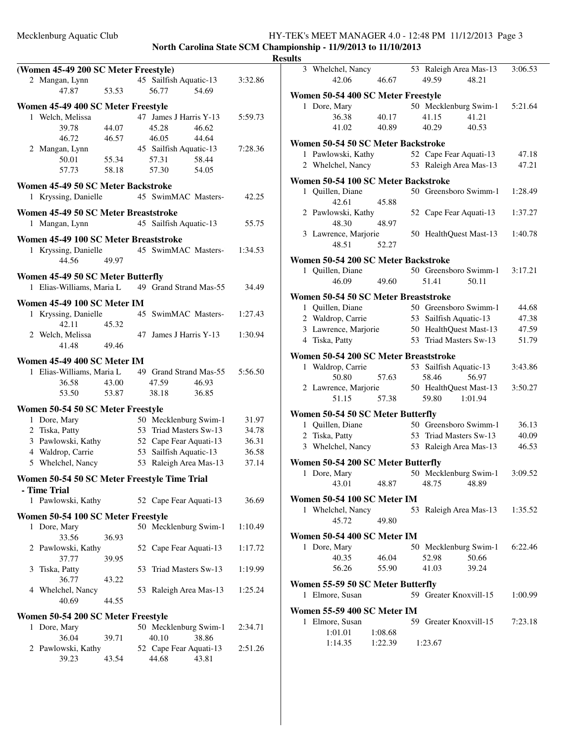## Mecklenburg Aquatic Club HY-TEK's MEET MANAGER 4.0 - 12:48 PM 11/12/2013 Page 3

**North Carolina State SCM Championship - 11/9/2013 to 11/10/2013 Results**

|   | (Women 45-49 200 SC Meter Freestyle)  |       |    |                                                  |         |
|---|---------------------------------------|-------|----|--------------------------------------------------|---------|
|   | 2 Mangan, Lynn                        |       |    | 45 Sailfish Aquatic-13                           | 3:32.86 |
|   | 47.87                                 | 53.53 |    | 56.77<br>54.69                                   |         |
|   | Women 45-49 400 SC Meter Freestyle    |       |    |                                                  |         |
|   | 1 Welch, Melissa                      |       |    | 47 James J Harris Y-13                           | 5:59.73 |
|   | 39.78                                 | 44.07 |    | 45.28<br>46.62                                   |         |
|   | 46.72                                 | 46.57 |    | 46.05<br>44.64                                   |         |
|   | 2 Mangan, Lynn                        |       |    | 45 Sailfish Aquatic-13                           | 7:28.36 |
|   | 50.01                                 | 55.34 |    | 57.31<br>58.44                                   |         |
|   | 57.73                                 | 58.18 |    | 57.30<br>54.05                                   |         |
|   |                                       |       |    |                                                  |         |
|   | Women 45-49 50 SC Meter Backstroke    |       |    |                                                  |         |
|   | 1 Kryssing, Danielle                  |       |    | 45 SwimMAC Masters-                              | 42.25   |
|   | Women 45-49 50 SC Meter Breaststroke  |       |    |                                                  |         |
|   | 1 Mangan, Lynn                        |       | 45 | Sailfish Aquatic-13                              | 55.75   |
|   |                                       |       |    |                                                  |         |
|   | Women 45-49 100 SC Meter Breaststroke |       |    |                                                  |         |
|   | 1 Kryssing, Danielle                  |       |    | 45 SwimMAC Masters-                              | 1:34.53 |
|   | 44.56                                 | 49.97 |    |                                                  |         |
|   | Women 45-49 50 SC Meter Butterfly     |       |    |                                                  |         |
|   |                                       |       |    | 1 Elias-Williams, Maria L 49 Grand Strand Mas-55 | 34.49   |
|   |                                       |       |    |                                                  |         |
|   | Women 45-49 100 SC Meter IM           |       |    |                                                  |         |
|   | 1 Kryssing, Danielle                  |       |    | 45 SwimMAC Masters-                              | 1:27.43 |
|   | 42.11                                 | 45.32 |    |                                                  |         |
|   | 2 Welch, Melissa                      |       | 47 | James J Harris Y-13                              | 1:30.94 |
|   | 41.48                                 | 49.46 |    |                                                  |         |
|   | Women 45-49 400 SC Meter IM           |       |    |                                                  |         |
|   | 1 Elias-Williams, Maria L             |       |    | 49 Grand Strand Mas-55                           | 5:56.50 |
|   | 36.58                                 | 43.00 |    | 47.59<br>46.93                                   |         |
|   | 53.50                                 | 53.87 |    | 38.18<br>36.85                                   |         |
|   | Women 50-54 50 SC Meter Freestyle     |       |    |                                                  |         |
|   | 1 Dore, Mary                          |       |    | 50 Mecklenburg Swim-1                            | 31.97   |
|   | 2 Tiska, Patty                        |       |    | 53 Triad Masters Sw-13                           | 34.78   |
|   | 3 Pawlowski, Kathy                    |       |    | 52 Cape Fear Aquati-13                           | 36.31   |
|   | 4 Waldrop, Carrie                     |       |    | 53 Sailfish Aquatic-13                           | 36.58   |
|   | 5 Whelchel, Nancy                     |       |    | 53 Raleigh Area Mas-13                           | 37.14   |
|   |                                       |       |    |                                                  |         |
|   |                                       |       |    |                                                  |         |
|   |                                       |       |    | Women 50-54 50 SC Meter Freestyle Time Trial     |         |
|   | - Time Trial                          |       |    |                                                  |         |
| 1 | Pawlowski, Kathy                      |       |    | 52 Cape Fear Aquati-13                           | 36.69   |
|   |                                       |       |    |                                                  |         |
|   | Women 50-54 100 SC Meter Freestyle    |       |    |                                                  | 1:10.49 |
|   | 1 Dore, Mary<br>33.56                 | 36.93 |    | 50 Mecklenburg Swim-1                            |         |
|   |                                       |       | 52 | Cape Fear Aquati-13                              | 1:17.72 |
|   | 2 Pawlowski, Kathy<br>37.77           | 39.95 |    |                                                  |         |
|   | 3 Tiska, Patty                        |       | 53 | Triad Masters Sw-13                              | 1:19.99 |
|   | 36.77                                 | 43.22 |    |                                                  |         |
|   | 4 Whelchel, Nancy                     |       | 53 | Raleigh Area Mas-13                              | 1:25.24 |
|   | 40.69                                 | 44.55 |    |                                                  |         |
|   |                                       |       |    |                                                  |         |
|   | Women 50-54 200 SC Meter Freestyle    |       |    |                                                  |         |
| 1 | Dore, Mary                            |       |    | 50 Mecklenburg Swim-1                            | 2:34.71 |
|   | 36.04                                 | 39.71 |    | 40.10<br>38.86                                   |         |
|   | 2 Pawlowski, Kathy<br>39.23           | 43.54 |    | 52 Cape Fear Aquati-13<br>44.68<br>43.81         | 2:51.26 |

| ιιιэ         |                                                    |         |                                |         |
|--------------|----------------------------------------------------|---------|--------------------------------|---------|
|              | 3 Whelchel, Nancy                                  |         | 53 Raleigh Area Mas-13         | 3:06.53 |
|              | 42.06                                              | 46.67   | 49.59<br>48.21                 |         |
|              | Women 50-54 400 SC Meter Freestyle                 |         |                                |         |
|              | 1 Dore, Mary                                       |         | 50 Mecklenburg Swim-1          | 5:21.64 |
|              | 36.38                                              | 40.17   | 41.15<br>41.21                 |         |
|              | 41.02                                              | 40.89   | 40.29<br>40.53                 |         |
|              | Women 50-54 50 SC Meter Backstroke                 |         |                                |         |
|              | 1 Pawlowski, Kathy                                 |         | 52 Cape Fear Aquati-13         | 47.18   |
|              | 2 Whelchel, Nancy                                  |         | 53 Raleigh Area Mas-13         | 47.21   |
|              | Women 50-54 100 SC Meter Backstroke                |         |                                |         |
| $\mathbf{1}$ | Quillen, Diane                                     |         | 50 Greensboro Swimm-1          | 1:28.49 |
|              | 42.61                                              | 45.88   |                                |         |
|              | 2 Pawlowski, Kathy                                 |         | 52 Cape Fear Aquati-13         | 1:37.27 |
|              | 48.30                                              | 48.97   |                                |         |
|              | 3 Lawrence, Marjorie                               |         | 50 HealthQuest Mast-13         | 1:40.78 |
|              | 48.51                                              | 52.27   |                                |         |
|              | Women 50-54 200 SC Meter Backstroke                |         |                                |         |
|              | 1 Quillen, Diane                                   |         | 50 Greensboro Swimm-1          | 3:17.21 |
|              | 46.09                                              | 49.60   | 51.41<br>50.11                 |         |
|              | Women 50-54 50 SC Meter Breaststroke               |         |                                |         |
|              | 1 Quillen, Diane                                   |         | 50 Greensboro Swimm-1          | 44.68   |
|              | 2 Waldrop, Carrie                                  |         | 53 Sailfish Aquatic-13         | 47.38   |
|              | 3 Lawrence, Marjorie                               |         | 50 HealthQuest Mast-13         | 47.59   |
|              | 4 Tiska, Patty                                     |         | 53 Triad Masters Sw-13         | 51.79   |
|              | Women 50-54 200 SC Meter Breaststroke              |         |                                |         |
|              | 1 Waldrop, Carrie                                  |         | 53 Sailfish Aquatic-13         | 3:43.86 |
|              | 50.80                                              | 57.63   | 58.46<br>56.97                 |         |
|              | 2 Lawrence, Marjorie                               |         | 50 HealthQuest Mast-13         | 3:50.27 |
|              | 51.15                                              | 57.38   | 59.80<br>1:01.94               |         |
|              | Women 50-54 50 SC Meter Butterfly                  |         |                                |         |
|              | 1 Quillen, Diane                                   |         | 50 Greensboro Swimm-1          | 36.13   |
|              | 2 Tiska, Patty                                     |         | 53 Triad Masters Sw-13         | 40.09   |
|              | 3 Whelchel, Nancy                                  |         | 53 Raleigh Area Mas-13         | 46.53   |
|              |                                                    |         |                                |         |
|              | Women 50-54 200 SC Meter Butterfly<br>1 Dore, Mary |         | 50 Mecklenburg Swim-1          | 3:09.52 |
|              | 43.01                                              | 48.87   | 48.75<br>48.89                 |         |
|              |                                                    |         |                                |         |
|              | Women 50-54 100 SC Meter IM                        |         |                                |         |
|              | 1 Whelchel, Nancy                                  |         | 53 Raleigh Area Mas-13 1:35.52 |         |
|              | 45.72                                              | 49.80   |                                |         |
|              | Women 50-54 400 SC Meter IM                        |         |                                |         |
|              | 1 Dore, Mary                                       |         | 50 Mecklenburg Swim-1          | 6:22.46 |
|              | 40.35                                              | 46.04   | 50.66<br>52.98                 |         |
|              | 56.26                                              | 55.90   | 41.03<br>39.24                 |         |
|              | Women 55-59 50 SC Meter Butterfly                  |         |                                |         |
| 1            | Elmore, Susan                                      |         | 59 Greater Knoxvill-15         | 1:00.99 |
|              | Women 55-59 400 SC Meter IM                        |         |                                |         |
|              | 1 Elmore, Susan                                    |         | 59 Greater Knoxvill-15         | 7:23.18 |
|              | 1:01.01                                            | 1:08.68 |                                |         |
|              | 1:14.35                                            | 1:22.39 | 1:23.67                        |         |
|              |                                                    |         |                                |         |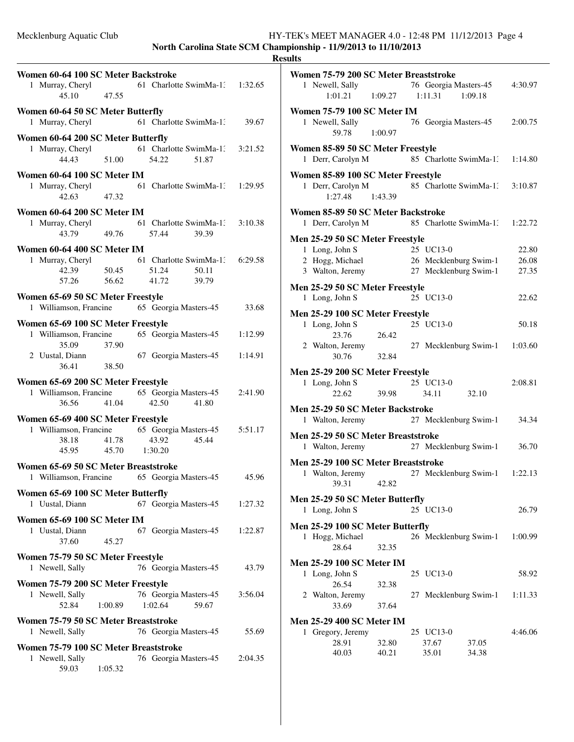| Women 60-64 100 SC Meter Backstroke<br>1 Murray, Cheryl 61 Charlotte SwimMa-1: 1:32.65<br>47.55<br>45.10                                          |         |
|---------------------------------------------------------------------------------------------------------------------------------------------------|---------|
| Women 60-64 50 SC Meter Butterfly<br>61 Charlotte SwimMa-13<br>1 Murray, Cheryl                                                                   | 39.67   |
| Women 60-64 200 SC Meter Butterfly<br>61 Charlotte SwimMa-1:<br>1 Murray, Cheryl<br>51.00<br>44.43<br>54.22<br>51.87                              | 3:21.52 |
| Women 60-64 100 SC Meter IM<br>1 Murray, Cheryl<br>61 Charlotte SwimMa-1: 1:29.95<br>42.63<br>47.32                                               |         |
| Women 60-64 200 SC Meter IM<br>1 Murray, Cheryl 61 Charlotte SwimMa-1.<br>49.76<br>43.79<br>57.44<br>39.39                                        | 3:10.38 |
| Women 60-64 400 SC Meter IM<br>61 Charlotte SwimMa-1.<br>1 Murray, Cheryl<br>50.45<br>42.39<br>51.24<br>50.11<br>57.26<br>56.62<br>41.72<br>39.79 | 6:29.58 |
| Women 65-69 50 SC Meter Freestyle<br>1 Williamson, Francine 65 Georgia Masters-45                                                                 | 33.68   |
| Women 65-69 100 SC Meter Freestyle<br>1 Williamson, Francine 65 Georgia Masters-45<br>35.09<br>37.90                                              | 1:12.99 |
| 2 Uustal, Diann<br>67 Georgia Masters-45<br>36.41<br>38.50                                                                                        | 1:14.91 |
| Women 65-69 200 SC Meter Freestyle<br>65 Georgia Masters-45<br>1 Williamson, Francine<br>42.50<br>36.56<br>41.04<br>41.80                         | 2:41.90 |
| Women 65-69 400 SC Meter Freestyle<br>1 Williamson, Francine 65 Georgia Masters-45<br>43.92<br>45.44<br>38.18<br>41.78<br>45.95 45.70 1:30.20     | 5:51.17 |
| Women 65-69 50 SC Meter Breaststroke<br>Williamson, Francine<br>65 Georgia Masters-45<br>1                                                        | 45.96   |
| Women 65-69 100 SC Meter Butterfly<br>1 Uustal, Diann<br>67 Georgia Masters-45                                                                    | 1:27.32 |
| Women 65-69 100 SC Meter IM<br>1 Uustal, Diann<br>67 Georgia Masters-45<br>37.60<br>45.27                                                         | 1:22.87 |
| Women 75-79 50 SC Meter Freestyle<br>1 Newell, Sally<br>76 Georgia Masters-45                                                                     | 43.79   |
| Women 75-79 200 SC Meter Freestyle<br>76 Georgia Masters-45<br>1 Newell, Sally<br>52.84<br>1:02.64<br>1:00.89<br>59.67                            | 3:56.04 |
| Women 75-79 50 SC Meter Breaststroke<br>1 Newell, Sally<br>76 Georgia Masters-45                                                                  | 55.69   |
| Women 75-79 100 SC Meter Breaststroke<br>1 Newell, Sally<br>76 Georgia Masters-45<br>59.03<br>1:05.32                                             | 2:04.35 |

| <b>Results</b>                                                                                                                                           |                         |
|----------------------------------------------------------------------------------------------------------------------------------------------------------|-------------------------|
| Women 75-79 200 SC Meter Breaststroke                                                                                                                    |                         |
| 1 Newell, Sally 76 Georgia Masters-4<br>1:01.21 1:09.27 1:11.31 1:09.18<br>76 Georgia Masters-45 4:30.97                                                 |                         |
| Women 75-79 100 SC Meter IM<br>1 Newell, Sally<br>76 Georgia Masters-45 2:00.75<br>59.78 1:00.97                                                         |                         |
| Women 85-89 50 SC Meter Freestyle<br>85 Charlotte SwimMa-1: 1:14.80<br>1 Derr, Carolyn M                                                                 |                         |
| Women 85-89 100 SC Meter Freestyle<br>1 Derr, Carolyn M 85 Charlotte SwimMa-1: 3:10.87<br>$1:27.48$ $1:43.39$                                            |                         |
| Women 85-89 50 SC Meter Backstroke                                                                                                                       |                         |
| 1 Derr, Carolyn M 85 Charlotte SwimMa-1: 1:22.72                                                                                                         |                         |
| Men 25-29 50 SC Meter Freestyle<br>1 Long, John S<br>2 Hogg, Michael<br>26 Mecklenburg Swim-1<br>2 Websites<br>3 Walton, Jeremy<br>27 Mecklenburg Swim-1 | 22.80<br>26.08<br>27.35 |
| Men 25-29 50 SC Meter Freestyle<br>1 Long, John S<br>25 UC13-0                                                                                           | 22.62                   |
| Men 25-29 100 SC Meter Freestyle<br>25 UC13-0<br>1 Long, John S<br>26.42<br>23.76                                                                        | 50.18                   |
| 2 Walton, Jeremy<br>27 Mecklenburg Swim-1 1:03.60<br>30.76<br>32.84                                                                                      |                         |
| Men 25-29 200 SC Meter Freestyle<br>25 UC13-0<br>1 Long, John S<br>22.62 39.98<br>34.11<br>32.10                                                         | 2:08.81                 |
| Men 25-29 50 SC Meter Backstroke<br>1 Walton, Jeremy 27 Mecklenburg Swim-1 34.34                                                                         |                         |
| Men 25-29 50 SC Meter Breaststroke<br>1 Walton, Jeremy 27 Mecklenburg Swim-1                                                                             | 36.70                   |
| Men 25-29 100 SC Meter Breaststroke<br>1 Walton, Jeremy 27 Mecklenburg Swim-1 1:22.13<br>39.31<br>42.82                                                  |                         |
| Men 25-29 50 SC Meter Butterfly<br>25 UC13-0<br>1 Long, John S                                                                                           | 26.79                   |
| Men 25-29 100 SC Meter Butterfly<br>1 Hogg, Michael<br>26 Mecklenburg Swim-1<br>28.64<br>32.35                                                           | 1:00.99                 |
| <b>Men 25-29 100 SC Meter IM</b><br>1 Long, John S<br>25 UC13-0<br>26.54                                                                                 | 58.92                   |
| 32.38<br>2 Walton, Jeremy<br>27 Mecklenburg Swim-1<br>33.69<br>37.64                                                                                     | 1:11.33                 |
| <b>Men 25-29 400 SC Meter IM</b><br>1 Gregory, Jeremy<br>25 UC13-0<br>28.91<br>32.80<br>37.67<br>37.05<br>40.03<br>35.01<br>40.21<br>34.38               | 4:46.06                 |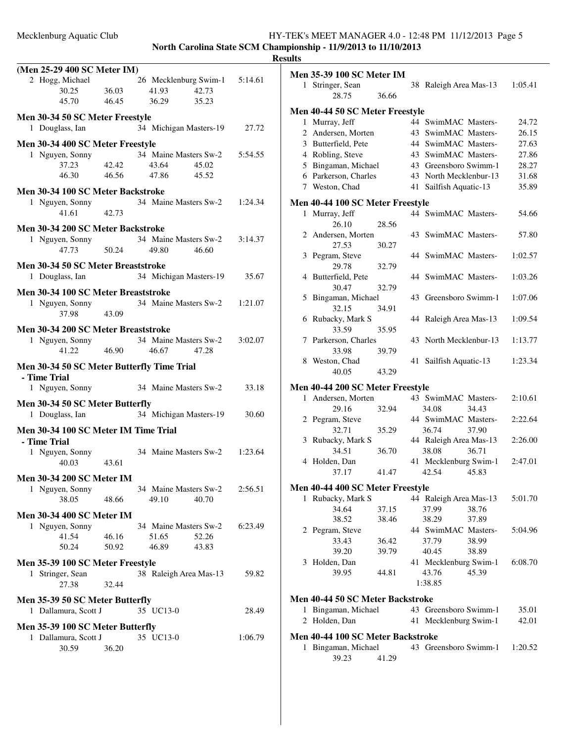| (Men 25-29 400 SC Meter IM)                |       |                                |                       |         |
|--------------------------------------------|-------|--------------------------------|-----------------------|---------|
| 2 Hogg, Michael                            |       | 26 Mecklenburg Swim-1          |                       | 5:14.61 |
| 30.25                                      | 36.03 | 41.93                          | 42.73                 |         |
| 45.70                                      | 46.45 | 36.29                          | 35.23                 |         |
| Men 30-34 50 SC Meter Freestyle            |       |                                |                       |         |
| 1 Douglass, Ian                            |       | 34 Michigan Masters-19         |                       | 27.72   |
|                                            |       |                                |                       |         |
| Men 30-34 400 SC Meter Freestyle           |       |                                |                       |         |
| 1 Nguyen, Sonny                            |       | 34 Maine Masters Sw-2          |                       | 5:54.55 |
| 37.23                                      | 42.42 | 43.64                          | 45.02                 |         |
| 46.30                                      | 46.56 | 47.86                          | 45.52                 |         |
| Men 30-34 100 SC Meter Backstroke          |       |                                |                       |         |
| 1 Nguyen, Sonny                            |       | 34 Maine Masters Sw-2          |                       | 1:24.34 |
| 41.61                                      | 42.73 |                                |                       |         |
| Men 30-34 200 SC Meter Backstroke          |       |                                |                       |         |
| 1 Nguyen, Sonny                            |       | 34 Maine Masters Sw-2          |                       | 3:14.37 |
| 47.73                                      | 50.24 | 49.80                          | 46.60                 |         |
|                                            |       |                                |                       |         |
| Men 30-34 50 SC Meter Breaststroke         |       |                                |                       |         |
| 1 Douglass, Ian                            |       | 34 Michigan Masters-19         |                       | 35.67   |
| Men 30-34 100 SC Meter Breaststroke        |       |                                |                       |         |
| $\frac{1}{2}$ Nguyen, Sonny                |       |                                | 34 Maine Masters Sw-2 | 1:21.07 |
| 37.98                                      | 43.09 |                                |                       |         |
| Men 30-34 200 SC Meter Breaststroke        |       |                                |                       |         |
| 1 Nguyen, Sonny                            |       | 34 Maine Masters Sw-2          |                       | 3:02.07 |
| 41.22                                      | 46.90 | 46.67                          | 47.28                 |         |
|                                            |       |                                |                       |         |
| Men 30-34 50 SC Meter Butterfly Time Trial |       |                                |                       |         |
| - Time Trial                               |       |                                |                       |         |
| 1 Nguyen, Sonny                            |       | 34 Maine Masters Sw-2          |                       | 33.18   |
| Men 30-34 50 SC Meter Butterfly            |       |                                |                       |         |
| 1 Douglass, Ian                            |       | 34 Michigan Masters-19         |                       | 30.60   |
| Men 30-34 100 SC Meter IM Time Trial       |       |                                |                       |         |
| - Time Trial                               |       |                                |                       |         |
| 1 Nguyen, Sonny                            |       |                                | 34 Maine Masters Sw-2 | 1:23.64 |
| 40.03                                      | 43.61 |                                |                       |         |
|                                            |       |                                |                       |         |
| Men 30-34 200 SC Meter IM                  |       |                                |                       |         |
| 1 Nguyen, Sonny<br>38.05                   | 48.66 | 34 Maine Masters Sw-2<br>49.10 | 40.70                 | 2:56.51 |
|                                            |       |                                |                       |         |
| <b>Men 30-34 400 SC Meter IM</b>           |       |                                |                       |         |
| 1 Nguyen, Sonny                            |       | 34 Maine Masters Sw-2          |                       | 6:23.49 |
| 41.54                                      | 46.16 | 51.65                          | 52.26                 |         |
| 50.24                                      | 50.92 | 46.89                          | 43.83                 |         |
| Men 35-39 100 SC Meter Freestyle           |       |                                |                       |         |
| 1 Stringer, Sean                           |       | 38 Raleigh Area Mas-13         |                       | 59.82   |
| 27.38                                      | 32.44 |                                |                       |         |
| Men 35-39 50 SC Meter Butterfly            |       |                                |                       |         |
| 1 Dallamura, Scott J                       |       | 35 UC13-0                      |                       | 28.49   |
|                                            |       |                                |                       |         |
| Men 35-39 100 SC Meter Butterfly           |       |                                |                       |         |
| 1 Dallamura, Scott J                       |       | 35 UC13-0                      |                       | 1:06.79 |
| 30.59                                      | 36.20 |                                |                       |         |
|                                            |       |                                |                       |         |

|              | <b>Men 35-39 100 SC Meter IM</b>        |       |    |                        |       |         |
|--------------|-----------------------------------------|-------|----|------------------------|-------|---------|
| 1            | Stringer, Sean                          |       |    | 38 Raleigh Area Mas-13 |       | 1:05.41 |
|              | 28.75                                   | 36.66 |    |                        |       |         |
|              | <b>Men 40-44 50 SC Meter Freestyle</b>  |       |    |                        |       |         |
|              | 1 Murray, Jeff                          |       |    | 44 SwimMAC Masters-    |       |         |
|              |                                         |       |    |                        |       | 24.72   |
|              | 2 Andersen, Morten                      |       |    | 43 SwimMAC Masters-    |       | 26.15   |
|              | 3 Butterfield, Pete                     |       |    | 44 SwimMAC Masters-    |       | 27.63   |
|              | 4 Robling, Steve                        |       |    | 43 SwimMAC Masters-    |       | 27.86   |
|              | 5 Bingaman, Michael                     |       |    | 43 Greensboro Swimm-1  |       | 28.27   |
|              | 6 Parkerson, Charles                    |       |    | 43 North Mecklenbur-13 |       | 31.68   |
|              | 7 Weston, Chad                          |       | 41 | Sailfish Aquatic-13    |       | 35.89   |
|              | <b>Men 40-44 100 SC Meter Freestyle</b> |       |    |                        |       |         |
|              | 1 Murray, Jeff                          |       |    | 44 SwimMAC Masters-    |       | 54.66   |
|              | 26.10                                   | 28.56 |    |                        |       |         |
|              | 2 Andersen, Morten                      |       |    | 43 SwimMAC Masters-    |       | 57.80   |
|              | 27.53                                   | 30.27 |    |                        |       |         |
|              |                                         |       |    | 44 SwimMAC Masters-    |       |         |
| 3            | Pegram, Steve                           |       |    |                        |       | 1:02.57 |
|              | 29.78                                   | 32.79 |    |                        |       |         |
|              | 4 Butterfield, Pete                     |       |    | 44 SwimMAC Masters-    |       | 1:03.26 |
|              | 30.47                                   | 32.79 |    |                        |       |         |
| 5            | Bingaman, Michael                       |       |    | 43 Greensboro Swimm-1  |       | 1:07.06 |
|              | 32.15                                   | 34.91 |    |                        |       |         |
|              | 6 Rubacky, Mark S                       |       |    | 44 Raleigh Area Mas-13 |       | 1:09.54 |
|              | 33.59                                   | 35.95 |    |                        |       |         |
| 7            | Parkerson, Charles                      |       | 43 | North Mecklenbur-13    |       | 1:13.77 |
|              | 33.98                                   | 39.79 |    |                        |       |         |
|              | 8 Weston, Chad                          |       |    | 41 Sailfish Aquatic-13 |       | 1:23.34 |
|              | 40.05                                   | 43.29 |    |                        |       |         |
|              | Men 40-44 200 SC Meter Freestyle        |       |    |                        |       |         |
| $\mathbf{1}$ | Andersen, Morten                        |       |    | 43 SwimMAC Masters-    |       | 2:10.61 |
|              | 29.16                                   | 32.94 |    | 34.08                  | 34.43 |         |
|              | 2 Pegram, Steve                         |       |    | 44 SwimMAC Masters-    |       | 2:22.64 |
|              | 32.71                                   | 35.29 |    | 36.74                  | 37.90 |         |
|              |                                         |       |    | 44 Raleigh Area Mas-13 |       | 2:26.00 |
|              | 3 Rubacky, Mark S<br>34.51              | 36.70 |    | 38.08                  | 36.71 |         |
|              | 4 Holden, Dan                           |       |    |                        |       |         |
|              |                                         |       |    | 41 Mecklenburg Swim-1  |       | 2:47.01 |
|              | 37.17                                   | 41.47 |    | 42.54                  | 45.83 |         |
|              | Men 40-44 400 SC Meter Freestyle        |       |    |                        |       |         |
|              | 1 Rubacky, Mark S                       |       |    | 44 Raleigh Area Mas-13 |       | 5:01.70 |
|              | 34.64                                   | 37.15 |    | 37.99                  | 38.76 |         |
|              | 38.52                                   | 38.46 |    | 38.29                  | 37.89 |         |
|              | 2 Pegram, Steve                         |       |    | 44 SwimMAC Masters-    |       | 5:04.96 |
|              | 33.43                                   | 36.42 |    | 37.79                  | 38.99 |         |
|              | 39.20                                   | 39.79 |    | 40.45                  | 38.89 |         |
|              | 3 Holden, Dan                           |       |    | 41 Mecklenburg Swim-1  |       | 6:08.70 |
|              | 39.95                                   | 44.81 |    | 43.76                  | 45.39 |         |
|              |                                         |       |    | 1:38.85                |       |         |
|              |                                         |       |    |                        |       |         |
|              | Men 40-44 50 SC Meter Backstroke        |       |    |                        |       |         |
| 1            | Bingaman, Michael                       |       |    | 43 Greensboro Swimm-1  |       | 35.01   |
| 2            | Holden, Dan                             |       | 41 | Mecklenburg Swim-1     |       | 42.01   |
|              | Men 40-44 100 SC Meter Backstroke       |       |    |                        |       |         |
|              |                                         |       |    |                        |       |         |
| 1            | Bingaman, Michael                       |       |    | 43 Greensboro Swimm-1  |       | 1:20.52 |
|              | 39.23                                   | 41.29 |    |                        |       |         |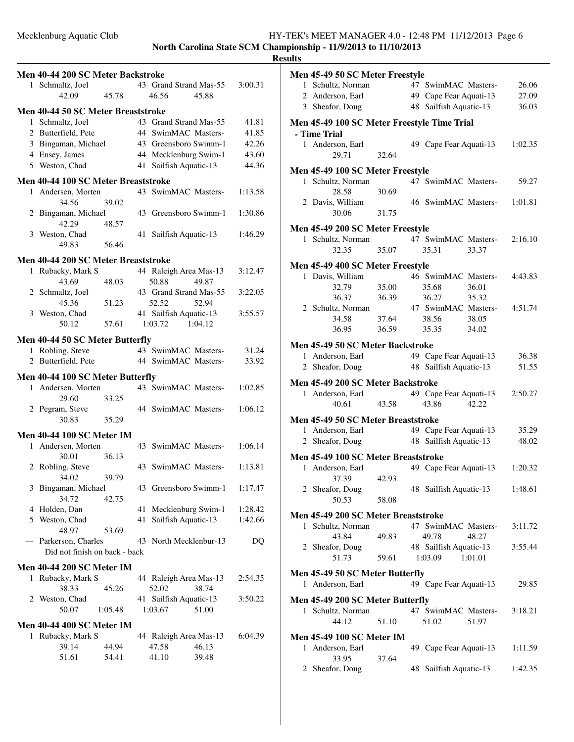|   |                                     |         |    |                        |         | <b>Results</b> |
|---|-------------------------------------|---------|----|------------------------|---------|----------------|
|   | Men 40-44 200 SC Meter Backstroke   |         |    |                        |         | M              |
|   | 1 Schmaltz, Joel                    |         |    | 43 Grand Strand Mas-55 | 3:00.31 |                |
|   | 42.09                               | 45.78   |    | 46.56<br>45.88         |         |                |
|   | Men 40-44 50 SC Meter Breaststroke  |         |    |                        |         |                |
|   | 1 Schmaltz, Joel                    |         |    | 43 Grand Strand Mas-55 | 41.81   |                |
|   | 2 Butterfield, Pete                 |         |    | 44 SwimMAC Masters-    | 41.85   | М              |
|   |                                     |         |    |                        |         |                |
|   | 3 Bingaman, Michael                 |         |    | 43 Greensboro Swimm-1  | 42.26   |                |
|   | 4 Ensey, James                      |         |    | 44 Mecklenburg Swim-1  | 43.60   |                |
|   | 5 Weston, Chad                      |         |    | 41 Sailfish Aquatic-13 | 44.36   | М              |
|   | Men 40-44 100 SC Meter Breaststroke |         |    |                        |         |                |
|   | 1 Andersen, Morten                  |         |    | 43 SwimMAC Masters-    | 1:13.58 |                |
|   | 34.56                               | 39.02   |    |                        |         |                |
|   | 2 Bingaman, Michael                 |         |    | 43 Greensboro Swimm-1  | 1:30.86 |                |
|   | 42.29                               | 48.57   |    |                        |         | М              |
|   | 3 Weston, Chad                      |         |    | 41 Sailfish Aquatic-13 | 1:46.29 |                |
|   | 49.83                               | 56.46   |    |                        |         |                |
|   | Men 40-44 200 SC Meter Breaststroke |         |    |                        |         |                |
|   | 1 Rubacky, Mark S                   |         |    | 44 Raleigh Area Mas-13 | 3:12.47 | M              |
|   | 43.69                               | 48.03   |    | 50.88<br>49.87         |         |                |
|   | 2 Schmaltz, Joel                    |         |    | 43 Grand Strand Mas-55 | 3:22.05 |                |
|   | 45.36                               | 51.23   |    | 52.52<br>52.94         |         |                |
|   | 3 Weston, Chad                      |         |    | 41 Sailfish Aquatic-13 | 3:55.57 |                |
|   | 50.12                               | 57.61   |    | 1:03.72<br>1:04.12     |         |                |
|   |                                     |         |    |                        |         |                |
|   | Men 40-44 50 SC Meter Butterfly     |         |    |                        |         | М              |
|   | 1 Robling, Steve                    |         |    | 43 SwimMAC Masters-    | 31.24   |                |
|   | 2 Butterfield, Pete                 |         |    | 44 SwimMAC Masters-    | 33.92   |                |
|   | Men 40-44 100 SC Meter Butterfly    |         |    |                        |         |                |
|   | 1 Andersen, Morten                  |         |    | 43 SwimMAC Masters-    | 1:02.85 | M              |
|   | 29.60                               |         |    |                        |         |                |
|   |                                     | 33.25   |    | 44 SwimMAC Masters-    |         |                |
|   | 2 Pegram, Steve                     |         |    |                        | 1:06.12 |                |
|   | 30.83                               | 35.29   |    |                        |         | М              |
|   | <b>Men 40-44 100 SC Meter IM</b>    |         |    |                        |         |                |
|   | 1 Andersen, Morten                  |         |    | 43 SwimMAC Masters-    | 1:06.14 |                |
|   | 30.01                               | 36.13   |    |                        |         | M              |
|   | 2 Robling, Steve                    |         |    | 43 SwimMAC Masters-    | 1:13.81 |                |
|   | 34.02                               | 39.79   |    |                        |         |                |
|   | 3 Bingaman, Michael                 |         |    | 43 Greensboro Swimm-1  | 1:17.47 |                |
|   | 34.72                               | 42.75   |    |                        |         |                |
|   | 4 Holden, Dan                       |         | 41 | Mecklenburg Swim-1     | 1:28.42 |                |
|   | 5 Weston, Chad                      |         | 41 | Sailfish Aquatic-13    | 1:42.66 | М              |
|   | 48.97                               | 53.69   |    |                        |         |                |
|   | --- Parkerson, Charles              |         |    | 43 North Mecklenbur-13 | DO      |                |
|   | Did not finish on back - back       |         |    |                        |         |                |
|   |                                     |         |    |                        |         |                |
|   | <b>Men 40-44 200 SC Meter IM</b>    |         |    |                        |         | М              |
| 1 | Rubacky, Mark S                     |         |    | 44 Raleigh Area Mas-13 | 2:54.35 |                |
|   | 38.33                               | 45.26   |    | 52.02<br>38.74         |         |                |
|   | 2 Weston, Chad                      |         |    | 41 Sailfish Aquatic-13 | 3:50.22 | M              |
|   | 50.07                               | 1:05.48 |    | 1:03.67<br>51.00       |         |                |
|   |                                     |         |    |                        |         |                |
|   | <b>Men 40-44 400 SC Meter IM</b>    |         |    |                        |         |                |
|   | 1 Rubacky, Mark S                   |         |    | 44 Raleigh Area Mas-13 | 6:04.39 | М              |
|   | 39.14                               | 44.94   |    | 47.58<br>46.13         |         |                |
|   | 51.61                               | 54.41   |    | 41.10<br>39.48         |         |                |
|   |                                     |         |    |                        |         |                |

| ılts | 70115111p - 1177/2013 to 11/10/2013             |       |                                 |         |         |
|------|-------------------------------------------------|-------|---------------------------------|---------|---------|
|      | Men 45-49 50 SC Meter Freestyle                 |       |                                 |         |         |
|      | 1 Schultz, Norman                               |       | 47 SwimMAC Masters-             |         | 26.06   |
|      | 2 Anderson, Earl                                |       | 49 Cape Fear Aquati-13          |         | 27.09   |
|      | 3 Sheafor, Doug                                 |       | 48 Sailfish Aquatic-13          |         | 36.03   |
|      | Men 45-49 100 SC Meter Freestyle Time Trial     |       |                                 |         |         |
|      | - Time Trial                                    |       |                                 |         |         |
|      | 1 Anderson, Earl                                |       | 49 Cape Fear Aquati-13 1:02.35  |         |         |
|      | 29.71                                           | 32.64 |                                 |         |         |
|      | Men 45-49 100 SC Meter Freestyle                |       |                                 |         |         |
|      | 1 Schultz, Norman                               |       | 47 SwimMAC Masters-             |         | 59.27   |
|      | 28.58                                           | 30.69 |                                 |         |         |
|      | 2 Davis, William                                |       | 46 SwimMAC Masters-             |         | 1:01.81 |
|      | 30.06                                           | 31.75 |                                 |         |         |
|      | Men 45-49 200 SC Meter Freestyle                |       |                                 |         |         |
|      | 1 Schultz, Norman                               |       | 47 SwimMAC Masters-             |         | 2:16.10 |
|      | 32.35                                           | 35.07 | 35.31                           | 33.37   |         |
|      |                                                 |       |                                 |         |         |
|      | Men 45-49 400 SC Meter Freestyle                |       |                                 |         |         |
|      | 1 Davis, William                                |       | 46 SwimMAC Masters-             |         | 4:43.83 |
|      | 32.79                                           | 35.00 | 35.68                           | 36.01   |         |
|      | 36.37                                           | 36.39 | 36.27                           | 35.32   |         |
|      | 2 Schultz, Norman                               |       | 47 SwimMAC Masters- 4:51.74     |         |         |
|      | 34.58                                           | 37.64 | 38.56                           | 38.05   |         |
|      | 36.95                                           | 36.59 | 35.35                           | 34.02   |         |
|      | Men 45-49 50 SC Meter Backstroke                |       |                                 |         |         |
|      | 1 Anderson, Earl                                |       | 49 Cape Fear Aquati-13          |         | 36.38   |
|      | 2 Sheafor, Doug                                 |       | 48 Sailfish Aquatic-13          |         | 51.55   |
|      |                                                 |       |                                 |         |         |
|      | Men 45-49 200 SC Meter Backstroke               |       |                                 |         |         |
|      | 1 Anderson, Earl                                |       | 49 Cape Fear Aquati-13          |         | 2:50.27 |
|      | 40.61                                           | 43.58 | 43.86                           | 42.22   |         |
|      | Men 45-49 50 SC Meter Breaststroke              |       |                                 |         |         |
|      | 1 Anderson, Earl                                |       | 49 Cape Fear Aquati-13          |         | 35.29   |
|      | 2 Sheafor, Doug                                 |       | 48 Sailfish Aquatic-13          |         | 48.02   |
|      |                                                 |       |                                 |         |         |
|      | Men 45-49 100 SC Meter Breaststroke             |       |                                 |         |         |
|      | 1 Anderson, Earl 49 Cape Fear Aquati-13 1:20.32 |       |                                 |         |         |
|      | 37.39                                           | 42.93 |                                 |         |         |
|      | 2 Sheafor, Doug                                 |       | 48 Sailfish Aquatic-13          |         | 1:48.61 |
|      | 50.53                                           | 58.08 |                                 |         |         |
|      | Men 45-49 200 SC Meter Breaststroke             |       |                                 |         |         |
|      | 1 Schultz, Norman                               |       | 47 SwimMAC Masters-             |         | 3:11.72 |
|      | 43.84                                           | 49.83 |                                 |         |         |
|      | 2 Sheafor, Doug                                 |       | 49.78<br>48 Sailfish Aquatic-13 | 48.27   | 3:55.44 |
|      |                                                 |       |                                 |         |         |
|      | 51.73                                           | 59.61 | 1:03.09                         | 1:01.01 |         |
|      | <b>Men 45-49 50 SC Meter Butterfly</b>          |       |                                 |         |         |
|      | 1 Anderson, Earl                                |       | 49 Cape Fear Aquati-13          |         | 29.85   |
|      |                                                 |       |                                 |         |         |
|      | Men 45-49 200 SC Meter Butterfly                |       |                                 |         |         |
|      | 1 Schultz, Norman                               |       | 47 SwimMAC Masters-             |         | 3:18.21 |
|      | 44.12                                           | 51.10 | 51.02                           | 51.97   |         |
|      | <b>Men 45-49 100 SC Meter IM</b>                |       |                                 |         |         |
|      | 1 Anderson Farl 49 Cape Fear Aquati-13 1:11.59  |       |                                 |         |         |

49 Cape Fear Aquati-13 1:11.59 33.95 37.64<br>2 Sheafor, Doug 48 Sailfish Aquatic-13 1:42.35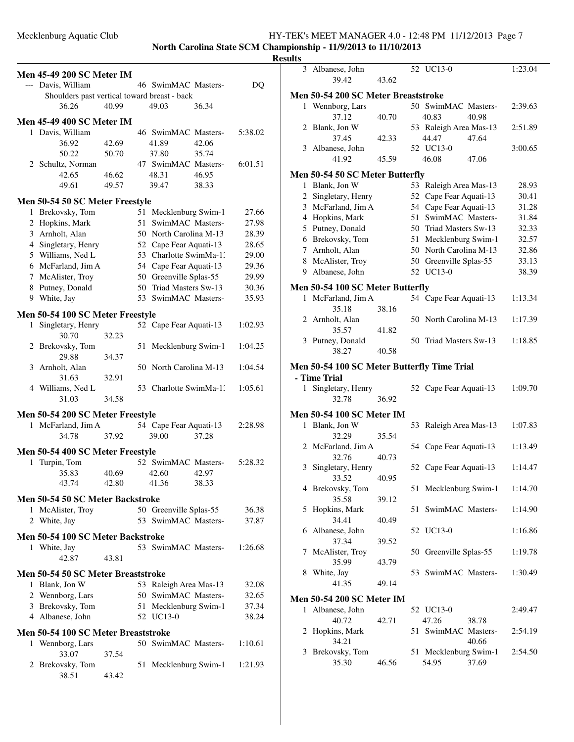# Mecklenburg Aquatic Club HY-TEK's MEET MANAGER 4.0 - 12:48 PM 11/12/2013 Page 7

**North Carolina State SCM Championship - 11/9/2013 to 11/10/2013**

| <b>Men 45-49 200 SC Meter IM</b>             |       |                        |       |         |     |
|----------------------------------------------|-------|------------------------|-------|---------|-----|
| --- Davis, William                           |       | 46 SwimMAC Masters-    |       | DQ      |     |
| Shoulders past vertical toward breast - back |       |                        |       |         | Me  |
| 36.26                                        | 40.99 | 49.03                  | 36.34 |         |     |
| <b>Men 45-49 400 SC Meter IM</b>             |       |                        |       |         |     |
| 1 Davis, William                             |       | 46 SwimMAC Masters-    |       | 5:38.02 |     |
| 36.92                                        | 42.69 | 41.89                  | 42.06 |         |     |
| 50.22                                        | 50.70 | 37.80                  | 35.74 |         |     |
| 2 Schultz, Norman                            |       | 47 SwimMAC Masters-    |       | 6:01.51 |     |
| 42.65                                        | 46.62 | 48.31                  | 46.95 |         | Me  |
| 49.61                                        | 49.57 | 39.47                  | 38.33 |         |     |
| Men 50-54 50 SC Meter Freestyle              |       |                        |       |         |     |
| 1 Brekovsky, Tom                             |       | 51 Mecklenburg Swim-1  |       | 27.66   |     |
| 2 Hopkins, Mark                              |       | 51 SwimMAC Masters-    |       | 27.98   |     |
| 3 Arnholt, Alan                              |       | 50 North Carolina M-13 |       | 28.39   |     |
| 4 Singletary, Henry                          |       | 52 Cape Fear Aquati-13 |       | 28.65   |     |
| 5 Williams, Ned L                            |       | 53 Charlotte SwimMa-1: |       | 29.00   |     |
| 6 McFarland, Jim A                           |       | 54 Cape Fear Aquati-13 |       | 29.36   |     |
| 7 McAlister, Troy                            |       | 50 Greenville Splas-55 |       | 29.99   |     |
| 8 Putney, Donald                             |       | 50 Triad Masters Sw-13 |       | 30.36   | Me  |
| 9 White, Jay                                 |       | 53 SwimMAC Masters-    |       | 35.93   |     |
| Men 50-54 100 SC Meter Freestyle             |       |                        |       |         |     |
| 1 Singletary, Henry                          |       | 52 Cape Fear Aquati-13 |       | 1:02.93 |     |
| 30.70                                        | 32.23 |                        |       |         |     |
| 2 Brekovsky, Tom                             |       | 51 Mecklenburg Swim-1  |       | 1:04.25 |     |
| 29.88                                        | 34.37 |                        |       |         |     |
| 3 Arnholt, Alan                              |       | 50 North Carolina M-13 |       | 1:04.54 | Me  |
| 31.63                                        | 32.91 |                        |       |         | - 1 |
| 4 Williams, Ned L                            |       | 53 Charlotte SwimMa-1: |       | 1:05.61 |     |
| 31.03                                        | 34.58 |                        |       |         |     |
| Men 50-54 200 SC Meter Freestyle             |       |                        |       |         | Me  |
| 1 McFarland, Jim A                           |       | 54 Cape Fear Aquati-13 |       | 2:28.98 |     |
| 34.78                                        | 37.92 | 39.00                  | 37.28 |         |     |
| Men 50-54 400 SC Meter Freestyle             |       |                        |       |         |     |
| 1 Turpin, Tom                                |       | 52 SwimMAC Masters-    |       | 5:28.32 |     |
| 35.83                                        | 40.69 | 42.60                  | 42.97 |         |     |
| 43.74                                        |       | 42.80 41.36            | 38.33 |         |     |
| Men 50-54 50 SC Meter Backstroke             |       |                        |       |         |     |
| 1 McAlister, Troy                            |       | 50 Greenville Splas-55 |       | 36.38   |     |
| 2 White, Jay                                 |       | 53 SwimMAC Masters-    |       | 37.87   |     |
|                                              |       |                        |       |         |     |
| Men 50-54 100 SC Meter Backstroke            |       |                        |       |         |     |
| 1 White, Jay                                 |       | 53 SwimMAC Masters-    |       | 1:26.68 |     |
| 42.87                                        | 43.81 |                        |       |         |     |
|                                              |       |                        |       |         |     |
| Men 50-54 50 SC Meter Breaststroke           |       |                        |       | 32.08   |     |
| 1 Blank, Jon W                               |       | 53 Raleigh Area Mas-13 |       |         |     |
| 2 Wennborg, Lars                             |       | 50 SwimMAC Masters-    |       | 32.65   | Me  |
| 3 Brekovsky, Tom                             |       | 51 Mecklenburg Swim-1  |       | 37.34   |     |
| 4 Albanese, John                             |       | 52 UC13-0              |       | 38.24   |     |
| Men 50-54 100 SC Meter Breaststroke          |       |                        |       |         |     |
| 1 Wennborg, Lars                             |       | 50 SwimMAC Masters-    |       | 1:10.61 |     |
| 33.07                                        | 37.54 |                        |       |         |     |
| 2 Brekovsky, Tom<br>38.51                    |       | 51 Mecklenburg Swim-1  |       | 1:21.93 |     |

| 52 UC13-0<br>3<br>Albanese, John                                       | 1:23.04 |
|------------------------------------------------------------------------|---------|
| 39.42<br>43.62                                                         |         |
|                                                                        |         |
| Men 50-54 200 SC Meter Breaststroke                                    |         |
| 1 Wennborg, Lars<br>50 SwimMAC Masters-                                | 2:39.63 |
| 37.12<br>40.70<br>40.83<br>40.98                                       |         |
| Blank, Jon W<br>53 Raleigh Area Mas-13<br>2                            | 2:51.89 |
| 44.47<br>37.45<br>47.64<br>42.33                                       |         |
| 52 UC13-0<br>3 Albanese, John                                          | 3:00.65 |
| 41.92<br>45.59<br>46.08<br>47.06                                       |         |
|                                                                        |         |
| <b>Men 50-54 50 SC Meter Butterfly</b><br>Blank, Jon W<br>$\mathbf{1}$ | 28.93   |
| 53 Raleigh Area Mas-13                                                 |         |
| 52 Cape Fear Aquati-13<br>2 Singletary, Henry                          | 30.41   |
| 3 McFarland, Jim A<br>54 Cape Fear Aquati-13                           | 31.28   |
| SwimMAC Masters-<br>4 Hopkins, Mark<br>51                              | 31.84   |
| 5 Putney, Donald<br>50 Triad Masters Sw-13                             | 32.33   |
| 6 Brekovsky, Tom<br>Mecklenburg Swim-1<br>51                           | 32.57   |
| 7 Arnholt, Alan<br>50 North Carolina M-13                              | 32.86   |
| 8 McAlister, Troy<br>50 Greenville Splas-55                            | 33.13   |
| 52 UC13-0<br>9 Albanese, John                                          | 38.39   |
|                                                                        |         |
| Men 50-54 100 SC Meter Butterfly                                       |         |
| McFarland, Jim A<br>54 Cape Fear Aquati-13<br>1.                       | 1:13.34 |
| 35.18<br>38.16                                                         |         |
| 2 Arnholt, Alan<br>50 North Carolina M-13                              | 1:17.39 |
| 41.82                                                                  |         |
| 35.57                                                                  |         |
| 3 Putney, Donald<br>50 Triad Masters Sw-13                             | 1:18.85 |
| 38.27<br>40.58                                                         |         |
|                                                                        |         |
| Men 50-54 100 SC Meter Butterfly Time Trial                            |         |
| - Time Trial                                                           |         |
| Singletary, Henry<br>52 Cape Fear Aquati-13<br>1                       | 1:09.70 |
| 32.78<br>36.92                                                         |         |
| <b>Men 50-54 100 SC Meter IM</b>                                       |         |
| 1 Blank, Jon W<br>53 Raleigh Area Mas-13                               | 1:07.83 |
| 32.29<br>35.54                                                         |         |
| 2 McFarland, Jim A<br>54 Cape Fear Aquati-13                           | 1:13.49 |
| 32.76<br>40.73                                                         |         |
| 3                                                                      | 1:14.47 |
| Singletary, Henry<br>52 Cape Fear Aquati-13                            |         |
| 40.95<br>33.52                                                         |         |
| 4 Brekovsky, Tom<br>51 Mecklenburg Swim-1                              | 1:14.70 |
| 35.58<br>39.12                                                         |         |
| Hopkins, Mark<br>51 SwimMAC Masters-<br>5                              | 1:14.90 |
| 34.41<br>40.49                                                         |         |
| 6 Albanese, John<br>52 UC13-0                                          | 1:16.86 |
| 37.34<br>39.52                                                         |         |
| McAlister, Troy<br>7<br>50 Greenville Splas-55                         | 1:19.78 |
| 35.99<br>43.79                                                         |         |
| 8 White, Jay<br>53 SwimMAC Masters-                                    | 1:30.49 |
| 41.35<br>49.14                                                         |         |
| <b>Men 50-54 200 SC Meter IM</b>                                       |         |
| 1 Albanese, John<br>52 UC13-0                                          | 2:49.47 |
| 40.72<br>42.71<br>47.26<br>38.78                                       |         |
| SwimMAC Masters-<br>51<br>2                                            | 2:54.19 |
| Hopkins, Mark<br>40.66                                                 |         |
| 34.21<br>Brekovsky, Tom<br>51 Mecklenburg Swim-1<br>3                  | 2:54.50 |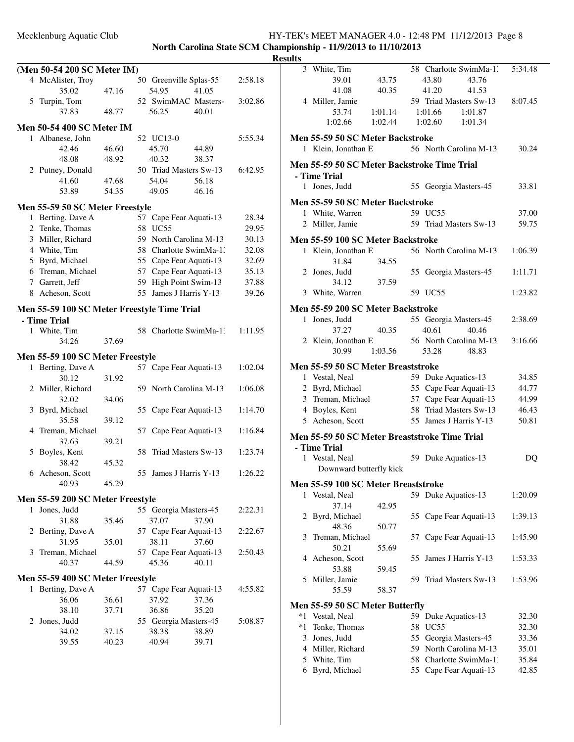# Mecklenburg Aquatic Club HY-TEK's MEET MANAGER 4.0 - 12:48 PM 11/12/2013 Page 8 **North Carolina State SCM Championship - 11/9/2013 to 11/10/2013**

|              | (Men 50-54 200 SC Meter IM)                        |       |    |                        |       |         |
|--------------|----------------------------------------------------|-------|----|------------------------|-------|---------|
|              | 4 McAlister, Troy                                  |       |    | 50 Greenville Splas-55 |       | 2:58.18 |
|              | 35.02                                              | 47.16 |    | 54.95                  | 41.05 |         |
| 5            | Turpin, Tom                                        |       |    | 52 SwimMAC Masters-    |       | 3:02.86 |
|              | 37.83                                              | 48.77 |    | 56.25                  | 40.01 |         |
|              | <b>Men 50-54 400 SC Meter IM</b>                   |       |    |                        |       |         |
|              | 1 Albanese, John                                   |       |    | 52 UC13-0              |       | 5:55.34 |
|              | 42.46                                              | 46.60 |    | 45.70                  | 44.89 |         |
|              | 48.08                                              | 48.92 |    | 40.32                  | 38.37 |         |
|              | 2 Putney, Donald                                   |       |    | 50 Triad Masters Sw-13 |       | 6:42.95 |
|              | 41.60                                              | 47.68 |    | 54.04                  | 56.18 |         |
|              | 53.89                                              | 54.35 |    | 49.05                  | 46.16 |         |
|              |                                                    |       |    |                        |       |         |
| $\mathbf{1}$ | Men 55-59 50 SC Meter Freestyle<br>Berting, Dave A |       |    | 57 Cape Fear Aquati-13 |       | 28.34   |
|              | 2 Tenke, Thomas                                    |       |    | 58 UC55                |       | 29.95   |
| 3            | Miller, Richard                                    |       |    | 59 North Carolina M-13 |       | 30.13   |
|              |                                                    |       |    | 58 Charlotte SwimMa-1. |       |         |
|              | 4 White, Tim<br>5 Byrd, Michael                    |       |    | 55 Cape Fear Aquati-13 |       | 32.08   |
|              |                                                    |       |    | 57 Cape Fear Aquati-13 |       | 32.69   |
|              | 6 Treman, Michael                                  |       |    |                        |       | 35.13   |
|              | 7 Garrett, Jeff                                    |       |    | 59 High Point Swim-13  |       | 37.88   |
| 8            | Acheson, Scott                                     |       | 55 | James J Harris Y-13    |       | 39.26   |
|              | Men 55-59 100 SC Meter Freestyle Time Trial        |       |    |                        |       |         |
|              | - Time Trial                                       |       |    |                        |       |         |
|              | 1 White, Tim                                       |       |    | 58 Charlotte SwimMa-13 |       | 1:11.95 |
|              | 34.26                                              | 37.69 |    |                        |       |         |
|              | Men 55-59 100 SC Meter Freestyle                   |       |    |                        |       |         |
| 1            | Berting, Dave A                                    |       |    | 57 Cape Fear Aquati-13 |       | 1:02.04 |
|              | 30.12                                              | 31.92 |    |                        |       |         |
| 2            | Miller, Richard                                    |       |    | 59 North Carolina M-13 |       | 1:06.08 |
|              | 32.02                                              | 34.06 |    |                        |       |         |
| 3            | Byrd, Michael                                      |       | 55 | Cape Fear Aquati-13    |       | 1:14.70 |
|              | 35.58                                              | 39.12 |    |                        |       |         |
| 4            | Treman, Michael                                    |       | 57 | Cape Fear Aquati-13    |       | 1:16.84 |
|              | 37.63                                              | 39.21 |    |                        |       |         |
| 5            | Boyles, Kent                                       |       | 58 | Triad Masters Sw-13    |       | 1:23.74 |
|              | 38.42                                              | 45.32 |    |                        |       |         |
| 6            | Acheson, Scott                                     |       | 55 | James J Harris Y-13    |       | 1:26.22 |
|              | 40.93                                              | 45.29 |    |                        |       |         |
|              | <b>Men 55-59 200 SC Meter Freestyle</b>            |       |    |                        |       |         |
| $\mathbf{1}$ | Jones, Judd                                        |       |    | 55 Georgia Masters-45  |       | 2:22.31 |
|              | 31.88                                              | 35.46 |    | 37.07                  | 37.90 |         |
| 2            | Berting, Dave A                                    |       |    | 57 Cape Fear Aquati-13 |       | 2:22.67 |
|              | 31.95                                              | 35.01 |    | 38.11                  | 37.60 |         |
| 3            | Treman, Michael                                    |       |    | 57 Cape Fear Aquati-13 |       | 2:50.43 |
|              | 40.37                                              | 44.59 |    | 45.36                  | 40.11 |         |
|              | <b>Men 55-59 400 SC Meter Freestyle</b>            |       |    |                        |       |         |
| 1            | Berting, Dave A                                    |       |    | 57 Cape Fear Aquati-13 |       | 4:55.82 |
|              | 36.06                                              | 36.61 |    | 37.92                  | 37.36 |         |
|              | 38.10                                              | 37.71 |    | 36.86                  | 35.20 |         |
| 2            | Jones, Judd                                        |       |    | 55 Georgia Masters-45  |       | 5:08.87 |
|              | 34.02                                              | 37.15 |    | 38.38                  | 38.89 |         |
|              | 39.55                                              | 40.23 |    | 40.94                  | 39.71 |         |
|              |                                                    |       |    |                        |       |         |
|              |                                                    |       |    |                        |       |         |
|              |                                                    |       |    |                        |       |         |

| ιιιэ |                                               |         |    |                     |                                 |         |
|------|-----------------------------------------------|---------|----|---------------------|---------------------------------|---------|
|      | 3 White, Tim                                  |         |    |                     | 58 Charlotte SwimMa-1.          | 5:34.48 |
|      | 39.01                                         | 43.75   |    | 43.80               | 43.76                           |         |
|      | 41.08                                         | 40.35   |    | 41.20               | 41.53                           |         |
|      | 4 Miller, Jamie                               |         |    |                     | 59 Triad Masters Sw-13          | 8:07.45 |
|      | 53.74                                         | 1:01.14 |    | 1:01.66             | 1:01.87                         |         |
|      | 1:02.66                                       | 1:02.44 |    | 1:02.60 1:01.34     |                                 |         |
|      |                                               |         |    |                     |                                 |         |
|      | Men 55-59 50 SC Meter Backstroke              |         |    |                     |                                 |         |
|      | 1 Klein, Jonathan E                           |         |    |                     | 56 North Carolina M-13          | 30.24   |
|      | Men 55-59 50 SC Meter Backstroke Time Trial   |         |    |                     |                                 |         |
|      | - Time Trial                                  |         |    |                     |                                 |         |
|      | 1 Jones, Judd                                 |         |    |                     | 55 Georgia Masters-45           | 33.81   |
|      |                                               |         |    |                     |                                 |         |
|      | Men 55-59 50 SC Meter Backstroke              |         |    |                     |                                 |         |
|      | 1 White, Warren                               |         |    | 59 UC55             |                                 | 37.00   |
|      | 2 Miller, Jamie                               |         |    |                     | 59 Triad Masters Sw-13          | 59.75   |
|      | Men 55-59 100 SC Meter Backstroke             |         |    |                     |                                 |         |
|      | 1 Klein, Jonathan E                           |         |    |                     | 56 North Carolina M-13          | 1:06.39 |
|      | 31.84                                         | 34.55   |    |                     |                                 |         |
|      | 2 Jones, Judd                                 |         |    |                     | 55 Georgia Masters-45           | 1:11.71 |
|      | 34.12                                         | 37.59   |    |                     |                                 |         |
|      | 3 White, Warren                               |         |    | 59 UC55             |                                 | 1:23.82 |
|      |                                               |         |    |                     |                                 |         |
|      | Men 55-59 200 SC Meter Backstroke             |         |    |                     |                                 |         |
| 1    | Jones, Judd                                   | 40.35   |    | 40.61               | 55 Georgia Masters-45           | 2:38.69 |
|      | 37.27                                         |         |    |                     | 40.46<br>56 North Carolina M-13 |         |
|      | 2 Klein, Jonathan E                           |         |    |                     |                                 | 3:16.66 |
|      | 30.99                                         | 1:03.56 |    | 53.28               | 48.83                           |         |
|      | Men 55-59 50 SC Meter Breaststroke            |         |    |                     |                                 |         |
|      | 1 Vestal, Neal                                |         |    | 59 Duke Aquatics-13 |                                 | 34.85   |
|      | 2 Byrd, Michael                               |         |    |                     | 55 Cape Fear Aquati-13          | 44.77   |
|      | 3 Treman, Michael                             |         |    |                     | 57 Cape Fear Aquati-13          | 44.99   |
|      | 4 Boyles, Kent                                |         |    |                     | 58 Triad Masters Sw-13          | 46.43   |
|      | 5 Acheson, Scott                              |         |    |                     | 55 James J Harris Y-13          | 50.81   |
|      | Men 55-59 50 SC Meter Breaststroke Time Trial |         |    |                     |                                 |         |
|      |                                               |         |    |                     |                                 |         |
|      | - Time Trial<br>1 Vestal, Neal                |         |    |                     |                                 |         |
|      | Downward butterfly kick                       |         |    | 59 Duke Aquatics-13 |                                 | DQ      |
|      |                                               |         |    |                     |                                 |         |
|      | Men 55-59 100 SC Meter Breaststroke           |         |    |                     |                                 |         |
|      | 1 Vestal, Neal                                |         |    | 59 Duke Aquatics-13 |                                 | 1:20.09 |
|      | 37.14                                         | 42.95   |    |                     |                                 |         |
| 2    | Byrd, Michael                                 |         | 55 |                     | Cape Fear Aquati-13             | 1:39.13 |
|      | 48.36                                         | 50.77   |    |                     |                                 |         |
| 3    | Treman, Michael                               |         | 57 |                     | Cape Fear Aquati-13             | 1:45.90 |
|      | 50.21                                         | 55.69   |    |                     |                                 |         |
| 4    | Acheson, Scott                                |         | 55 |                     | James J Harris Y-13             | 1:53.33 |
|      | 53.88                                         | 59.45   |    |                     |                                 |         |
| 5.   | Miller, Jamie                                 |         |    |                     | 59 Triad Masters Sw-13          | 1:53.96 |
|      | 55.59                                         | 58.37   |    |                     |                                 |         |
|      | <b>Men 55-59 50 SC Meter Butterfly</b>        |         |    |                     |                                 |         |
| $*1$ | Vestal, Neal                                  |         |    | 59 Duke Aquatics-13 |                                 | 32.30   |
| $*1$ | Tenke, Thomas                                 |         |    | 58 UC55             |                                 | 32.30   |
| 3    | Jones, Judd                                   |         | 55 |                     | Georgia Masters-45              | 33.36   |
|      | 4 Miller, Richard                             |         |    |                     | 59 North Carolina M-13          | 35.01   |
|      | 5 White, Tim                                  |         |    |                     | 58 Charlotte SwimMa-1.          | 35.84   |
|      | 6 Byrd, Michael                               |         |    |                     | 55 Cape Fear Aquati-13          | 42.85   |
|      |                                               |         |    |                     |                                 |         |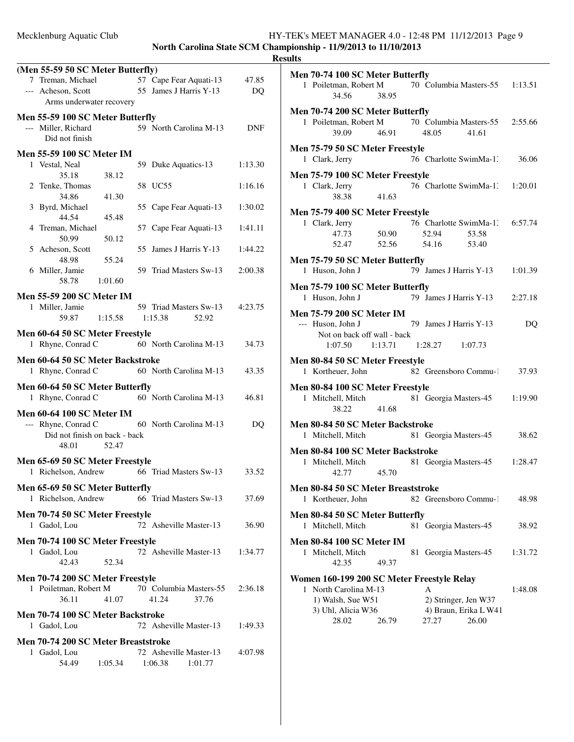|                                                                                                                         |             | <b>Results</b>                                                     |
|-------------------------------------------------------------------------------------------------------------------------|-------------|--------------------------------------------------------------------|
| (Men 55-59 50 SC Meter Butterfly)                                                                                       |             | Men 70-74 100 SC Meter Butterfly                                   |
| 57 Cape Fear Aquati-13<br>7 Treman, Michael<br>55 James J Harris Y-13<br>--- Acheson, Scott<br>Arms underwater recovery | 47.85<br>DQ | 1 Poiletman, Robert M<br>70 Colum<br>34.56<br>38.95                |
| Men 55-59 100 SC Meter Butterfly                                                                                        |             | Men 70-74 200 SC Meter Butterfly                                   |
| 59 North Carolina M-13<br>--- Miller, Richard<br>Did not finish                                                         | <b>DNF</b>  | 70 Colum<br>1 Poiletman, Robert M<br>48.05<br>39.09<br>46.91       |
| Men 55-59 100 SC Meter IM                                                                                               |             | Men 75-79 50 SC Meter Freestyle                                    |
| 59 Duke Aquatics-13<br>1 Vestal, Neal                                                                                   | 1:13.30     | 76 Charlo<br>1 Clark, Jerry                                        |
| 35.18<br>38.12                                                                                                          |             | Men 75-79 100 SC Meter Freestyle                                   |
| 2 Tenke, Thomas<br>58 UC55                                                                                              | 1:16.16     | 76 Charlo<br>1 Clark, Jerry                                        |
| 34.86<br>41.30                                                                                                          |             | 38.38<br>41.63                                                     |
| 3 Byrd, Michael<br>55 Cape Fear Aquati-13<br>44.54<br>45.48                                                             | 1:30.02     | Men 75-79 400 SC Meter Freestyle                                   |
| 4 Treman, Michael<br>57 Cape Fear Aquati-13                                                                             | 1:41.11     | 76 Charlo<br>1 Clark, Jerry                                        |
| 50.99<br>50.12                                                                                                          |             | 50.90<br>52.94<br>47.73                                            |
| 5 Acheson, Scott<br>55 James J Harris Y-13                                                                              | 1:44.22     | 52.47<br>52.56<br>54.16                                            |
| 55.24<br>48.98                                                                                                          |             | Men 75-79 50 SC Meter Butterfly                                    |
| 6 Miller, Jamie<br>59 Triad Masters Sw-13                                                                               | 2:00.38     | 79 James<br>1 Huson, John J                                        |
| 1:01.60<br>58.78                                                                                                        |             | Men 75-79 100 SC Meter Butterfly                                   |
| Men 55-59 200 SC Meter IM                                                                                               |             | 79 James<br>1 Huson, John J                                        |
| 1 Miller, Jamie<br>59 Triad Masters Sw-13                                                                               | 4:23.75     | <b>Men 75-79 200 SC Meter IM</b>                                   |
| 1:15.38<br>59.87<br>1:15.58<br>52.92                                                                                    |             | --- Huson, John J<br>79 James                                      |
| Men 60-64 50 SC Meter Freestyle                                                                                         |             | Not on back off wall - back                                        |
| 1 Rhyne, Conrad C<br>60 North Carolina M-13                                                                             | 34.73       | 1:28.27<br>1:07.50<br>1:13.71                                      |
| Men 60-64 50 SC Meter Backstroke                                                                                        |             | Men 80-84 50 SC Meter Freestyle                                    |
| 60 North Carolina M-13<br>1 Rhyne, Conrad C                                                                             | 43.35       | 82 Greens<br>1 Kortheuer, John                                     |
| Men 60-64 50 SC Meter Butterfly<br>60 North Carolina M-13<br>1 Rhyne, Conrad C                                          | 46.81       | Men 80-84 100 SC Meter Freestyle<br>1 Mitchell, Mitch<br>81 Georgi |
|                                                                                                                         |             | 38.22<br>41.68                                                     |
| <b>Men 60-64 100 SC Meter IM</b><br>--- Rhyne, Conrad C<br>60 North Carolina M-13                                       | DQ          | Men 80-84 50 SC Meter Backstroke                                   |
| Did not finish on back - back                                                                                           |             | 1 Mitchell, Mitch<br>81 Georgi                                     |
| 48.01<br>52.47                                                                                                          |             |                                                                    |
| Men 65-69 50 SC Meter Freestyle                                                                                         |             | Men 80-84 100 SC Meter Backstroke                                  |
| 1 Richelson, Andrew<br>66 Triad Masters Sw-13                                                                           | 33.52       | 1 Mitchell, Mitch<br>81 Georgi<br>45.70<br>42.77                   |
|                                                                                                                         |             |                                                                    |
| Men 65-69 50 SC Meter Butterfly<br>1 Richelson, Andrew<br>66 Triad Masters Sw-13                                        | 37.69       | Men 80-84 50 SC Meter Breaststroke<br>82 Greens                    |
|                                                                                                                         |             | 1 Kortheuer, John                                                  |
| Men 70-74 50 SC Meter Freestyle                                                                                         |             | Men 80-84 50 SC Meter Butterfly                                    |
| 1 Gadol, Lou<br>72 Asheville Master-13                                                                                  | 36.90       | 81 Georgi<br>1 Mitchell, Mitch                                     |
| Men 70-74 100 SC Meter Freestyle                                                                                        |             | <b>Men 80-84 100 SC Meter IM</b>                                   |
| 72 Asheville Master-13<br>1 Gadol, Lou                                                                                  | 1:34.77     | 1 Mitchell, Mitch<br>81 Georgi                                     |
| 42.43<br>52.34                                                                                                          |             | 42.35<br>49.37                                                     |
| Men 70-74 200 SC Meter Freestyle                                                                                        |             | Women 160-199 200 SC Meter Freestyl                                |
| 1 Poiletman, Robert M<br>70 Columbia Masters-55                                                                         | 2:36.18     | 1 North Carolina M-13<br>A                                         |
| 36.11<br>41.07<br>41.24<br>37.76                                                                                        |             | 1) Walsh, Sue W51<br>2) Stri                                       |
| Men 70-74 100 SC Meter Backstroke                                                                                       |             | 3) Uhl, Alicia W36<br>4) Bra<br>28.02<br>26.79<br>27.27            |
| 1 Gadol, Lou<br>72 Asheville Master-13                                                                                  | 1:49.33     |                                                                    |
| Men 70-74 200 SC Meter Breaststroke                                                                                     |             |                                                                    |
| 72 Asheville Master-13<br>1 Gadol, Lou                                                                                  | 4:07.98     |                                                                    |
| 54.49<br>1:05.34<br>1:06.38<br>1:01.77                                                                                  |             |                                                                    |

| Men 70-74 100 SC Meter Butterfly<br>1 Poiletman, Robert M<br>34.56<br>38.95                                              | 70 Columbia Masters-55 1:13.51                                  |         |
|--------------------------------------------------------------------------------------------------------------------------|-----------------------------------------------------------------|---------|
| Men 70-74 200 SC Meter Butterfly<br>1 Poiletman, Robert M 70 Columbia Masters-55 2:55.66<br>46.91<br>39.09               | 48.05<br>41.61                                                  |         |
| Men 75-79 50 SC Meter Freestyle<br>1 Clark, Jerry                                                                        | 76 Charlotte SwimMa-1.                                          | 36.06   |
| Men 75-79 100 SC Meter Freestyle<br>1 Clark, Jerry<br>41.63<br>38.38                                                     | 76 Charlotte SwimMa-1: 1:20.01                                  |         |
| Men 75-79 400 SC Meter Freestyle<br>1 Clark, Jerry<br>, Jerry<br>47.73 50.90<br>52.47<br>52.56                           | 76 Charlotte SwimMa-1. 6:57.74<br>52.94<br>53.58<br>54.16 53.40 |         |
| Men 75-79 50 SC Meter Butterfly<br>1 Huson, John J                                                                       | 79 James J Harris Y-13                                          | 1:01.39 |
| Men 75-79 100 SC Meter Butterfly<br>1 Huson, John J                                                                      | 79 James J Harris Y-13                                          | 2:27.18 |
| Men 75-79 200 SC Meter IM<br>--- Huson, John J<br>Not on back off wall - back<br>$1:07.50$ $1:13.71$ $1:28.27$ $1:07.73$ | 79 James J Harris Y-13                                          | DQ      |
| Men 80-84 50 SC Meter Freestyle<br>1 Kortheuer, John 82 Greensboro Commu-1                                               |                                                                 | 37.93   |
| Men 80-84 100 SC Meter Freestyle<br>1 Mitchell, Mitch<br>38.22<br>41.68                                                  | 81 Georgia Masters-45 1:19.90                                   |         |
| Men 80-84 50 SC Meter Backstroke<br>1 Mitchell, Mitch                                                                    | 81 Georgia Masters-45                                           | 38.62   |
| Men 80-84 100 SC Meter Backstroke<br>1 Mitchell, Mitch<br>45.70<br>42.77                                                 | 81 Georgia Masters-45                                           | 1:28.47 |
| Men 80-84 50 SC Meter Breaststroke<br>Kortheuer, John<br>1                                                               | 82 Greensboro Commu-1                                           | 48.98   |
| Men 80-84 50 SC Meter Butterfly<br>Mitchell, Mitch<br>1                                                                  | 81 Georgia Masters-45                                           | 38.92   |
| <b>Men 80-84 100 SC Meter IM</b><br>1 Mitchell, Mitch<br>42.35<br>49.37                                                  | Georgia Masters-45<br>81                                        | 1:31.72 |
| Women 160-199 200 SC Meter Freestyle Relay<br>North Carolina M-13<br>1                                                   | А                                                               | 1:48.08 |

| - INOHII Cafolina M-15 |       | $\mathsf{A}$         |                       | 1.34 |
|------------------------|-------|----------------------|-----------------------|------|
| 1) Walsh, Sue W51      |       | 2) Stringer, Jen W37 |                       |      |
| 3) Uhl, Alicia W36     |       |                      | 4) Braun, Erika L W41 |      |
| 28.02                  | 26.79 | 27.27                | 26.00                 |      |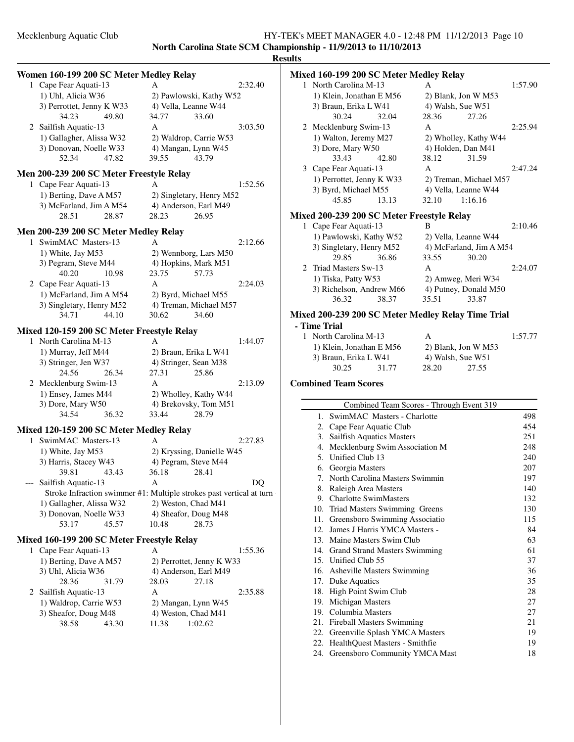## **Results**

| Women 160-199 200 SC Meter Medley Relay                         |                                                                      | N |
|-----------------------------------------------------------------|----------------------------------------------------------------------|---|
| 1 Cape Fear Aquati-13                                           | A<br>2:32.40                                                         |   |
| 1) Uhl, Alicia W36                                              | 2) Pawlowski, Kathy W52                                              |   |
| 3) Perrottet, Jenny K W33                                       | 4) Vella, Leanne W44                                                 |   |
| 34.23<br>49.80                                                  | 33.60<br>34.77                                                       |   |
| 2 Sailfish Aquatic-13                                           | 3:03.50<br>A                                                         |   |
| 1) Gallagher, Alissa W32                                        | 2) Waldrop, Carrie W53                                               |   |
| 3) Donovan, Noelle W33                                          | 4) Mangan, Lynn W45                                                  |   |
| 52.34<br>47.82                                                  | 39.55<br>43.79                                                       |   |
| Men 200-239 200 SC Meter Freestyle Relay                        |                                                                      |   |
| 1 Cape Fear Aquati-13                                           | 1:52.56<br>А                                                         |   |
| 1) Berting, Dave A M57                                          | 2) Singletary, Henry M52                                             |   |
| 3) McFarland, Jim A M54                                         | 4) Anderson, Earl M49                                                |   |
| 28.51<br>28.87                                                  | 26.95<br>28.23                                                       | N |
| Men 200-239 200 SC Meter Medley Relay                           |                                                                      |   |
| 1 SwimMAC Masters-13                                            | 2:12.66<br>A                                                         |   |
| 1) White, Jay M53                                               | 2) Wennborg, Lars M50                                                |   |
| 3) Pegram, Steve M44                                            | 4) Hopkins, Mark M51                                                 |   |
| 40.20<br>10.98                                                  | 23.75<br>57.73                                                       |   |
| 2 Cape Fear Aquati-13                                           | A<br>2:24.03                                                         |   |
| 1) McFarland, Jim A M54                                         | 2) Byrd, Michael M55                                                 |   |
| 3) Singletary, Henry M52                                        | 4) Treman, Michael M57                                               |   |
| 34.71<br>44.10                                                  | 30.62<br>34.60                                                       | N |
|                                                                 |                                                                      |   |
| Mixed 120-159 200 SC Meter Freestyle Relay                      |                                                                      |   |
| 1 North Carolina M-13                                           | 1:44.07<br>A                                                         |   |
| 1) Murray, Jeff M44                                             | 2) Braun, Erika L W41                                                |   |
| 3) Stringer, Jen W37<br>24.56<br>26.34                          | 4) Stringer, Sean M38<br>27.31<br>25.86                              |   |
|                                                                 | A<br>2:13.09                                                         | C |
| 2 Mecklenburg Swim-13<br>1) Ensey, James M44                    | 2) Wholley, Kathy W44                                                |   |
| 3) Dore, Mary W50                                               | 4) Brekovsky, Tom M51                                                |   |
| 34.54<br>36.32                                                  | 33.44<br>28.79                                                       |   |
|                                                                 |                                                                      |   |
| Mixed 120-159 200 SC Meter Medley Relay<br>1 SwimMAC Masters-13 | A<br>2:27.83                                                         |   |
| 1) White, Jay M53                                               | 2) Kryssing, Danielle W45                                            |   |
| 3) Harris, Stacey W43                                           | 4) Pegram, Steve M44                                                 |   |
| 39.81<br>43.43                                                  | 36.18<br>28.41                                                       |   |
| --- Sailfish Aquatic-13                                         | A<br>DQ                                                              |   |
|                                                                 | Stroke Infraction swimmer #1: Multiple strokes past vertical at turn |   |
| 1) Gallagher, Alissa W32                                        | 2) Weston, Chad M41                                                  |   |
| 3) Donovan, Noelle W33                                          | 4) Sheafor, Doug M48                                                 |   |
| 53.17<br>45.57                                                  | 10.48<br>28.73                                                       |   |
|                                                                 |                                                                      |   |
| Mixed 160-199 200 SC Meter Freestyle Relay                      | 1:55.36                                                              |   |
| Cape Fear Aquati-13<br>1<br>1) Berting, Dave A M57              | А                                                                    |   |
| 3) Uhl, Alicia W36                                              | 2) Perrottet, Jenny K W33<br>4) Anderson, Earl M49                   |   |
| 28.36<br>31.79                                                  | 28.03<br>27.18                                                       |   |
| 2 Sailfish Aquatic-13                                           | A<br>2:35.88                                                         |   |
| 1) Waldrop, Carrie W53                                          | 2) Mangan, Lynn W45                                                  |   |
| 3) Sheafor, Doug M48                                            | 4) Weston, Chad M41                                                  |   |
| 38.58<br>43.30                                                  | 11.38<br>1:02.62                                                     |   |
|                                                                 |                                                                      |   |

## **Mixed 160-199 200 SC Meter Medley Relay**

| 1 North Carolina M-13                      |       | A                 |                        | 1:57.90 |  |  |
|--------------------------------------------|-------|-------------------|------------------------|---------|--|--|
| 1) Klein, Jonathan E M56                   |       |                   | 2) Blank, Jon W M53    |         |  |  |
| 3) Braun, Erika L W41                      |       | 4) Walsh, Sue W51 |                        |         |  |  |
| 30.24                                      | 32.04 | 28.36             | 27.26                  |         |  |  |
| 2 Mecklenburg Swim-13                      |       | A                 |                        | 2:25.94 |  |  |
| 1) Walton, Jeremy M27                      |       |                   | 2) Wholley, Kathy W44  |         |  |  |
| 3) Dore, Mary W50                          |       |                   | 4) Holden, Dan M41     |         |  |  |
| 33.43                                      | 42.80 | 38.12             | 31.59                  |         |  |  |
| 3 Cape Fear Aquati-13                      |       | A                 |                        | 2:47.24 |  |  |
| 1) Perrottet, Jenny K W33                  |       |                   | 2) Treman, Michael M57 |         |  |  |
| 3) Byrd, Michael M55                       |       |                   | 4) Vella, Leanne W44   |         |  |  |
| 45.85                                      | 13.13 | 32.10             | 1:16.16                |         |  |  |
| Mixed 200-239 200 SC Meter Freestyle Relay |       |                   |                        |         |  |  |

| 1 Cape Fear Aquati-13    |       | в                       |                       | 2:10.46 |  |  |
|--------------------------|-------|-------------------------|-----------------------|---------|--|--|
| 1) Pawlowski, Kathy W52  |       |                         | 2) Vella, Leanne W44  |         |  |  |
| 3) Singletary, Henry M52 |       | 4) McFarland, Jim A M54 |                       |         |  |  |
| 29.85                    | 36.86 | 33.55                   | 30.20                 |         |  |  |
| 2 Triad Masters Sw-13    |       | A                       |                       | 2:24.07 |  |  |
| 1) Tiska, Patty W53      |       |                         | 2) Amweg, Meri W34    |         |  |  |
| 3) Richelson, Andrew M66 |       |                         | 4) Putney, Donald M50 |         |  |  |
| 36.32                    | 38.37 | 35.51                   | 33.87                 |         |  |  |
|                          |       |                         |                       |         |  |  |

## **Mixed 200-239 200 SC Meter Medley Relay Time Trial**

## **- Time Trial**

÷

| 1 North Carolina M-13    |       | А     |                     | 1:57.77 |
|--------------------------|-------|-------|---------------------|---------|
| 1) Klein. Jonathan E M56 |       |       | 2) Blank, Jon W M53 |         |
| 3) Braun, Erika L W41    |       |       | 4) Walsh, Sue W51   |         |
| 30.25                    | 31.77 | 28.20 | 27.55               |         |

## **Combined Team Scores**

| Combined Team Scores - Through Event 319 |                                   |     |  |
|------------------------------------------|-----------------------------------|-----|--|
|                                          | 1. SwimMAC Masters - Charlotte    | 498 |  |
| 2.                                       | Cape Fear Aquatic Club            | 454 |  |
| 3.                                       | <b>Sailfish Aquatics Masters</b>  | 251 |  |
| 4.                                       | Mecklenburg Swim Association M    | 248 |  |
| 5.                                       | Unified Club 13                   | 240 |  |
| 6.                                       | Georgia Masters                   | 207 |  |
|                                          | 7. North Carolina Masters Swimmin | 197 |  |
| 8.                                       | Raleigh Area Masters              | 140 |  |
| 9.                                       | <b>Charlotte SwimMasters</b>      | 132 |  |
|                                          | 10. Triad Masters Swimming Greens | 130 |  |
| 11.                                      | Greensboro Swimming Associatio    | 115 |  |
|                                          | 12. James J Harris YMCA Masters - | 84  |  |
|                                          | 13. Maine Masters Swim Club       | 63  |  |
|                                          | 14. Grand Strand Masters Swimming | 61  |  |
|                                          | 15. Unified Club 55               | 37  |  |
|                                          | 16. Asheville Masters Swimming    | 36  |  |
| 17.                                      | Duke Aquatics                     | 35  |  |
| 18.                                      | High Point Swim Club              | 28  |  |
| 19.                                      | Michigan Masters                  | 27  |  |
|                                          | 19. Columbia Masters              | 27  |  |
| 21.                                      | <b>Fireball Masters Swimming</b>  | 21  |  |
| 22.                                      | Greenville Splash YMCA Masters    | 19  |  |
| 22.                                      | HealthQuest Masters - Smithfie    | 19  |  |
| 24.                                      | Greensboro Community YMCA Mast    | 18  |  |